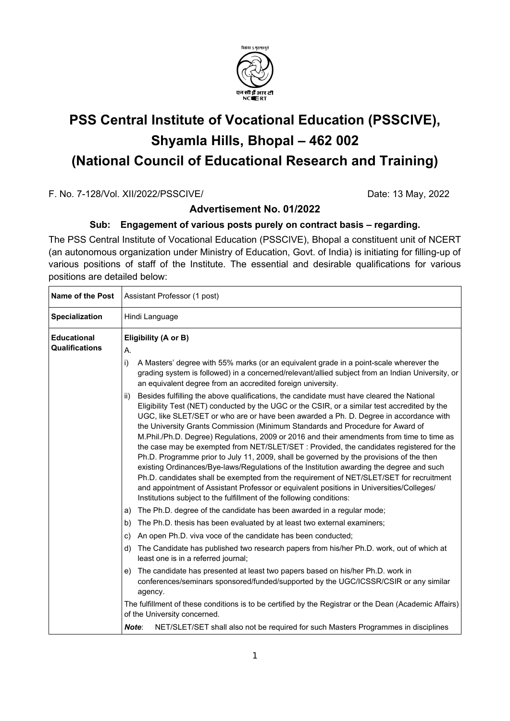

# **PSS Central Institute of Vocational Education (PSSCIVE), Shyamla Hills, Bhopal – 462 002 (National Council of Educational Research and Training)**

F. No. 7-128/Vol. XII/2022/PSSCIVE/ Date: 13 May, 2022

## **Advertisement No. 01/2022**

## **Sub: Engagement of various posts purely on contract basis – regarding.**

The PSS Central Institute of Vocational Education (PSSCIVE), Bhopal a constituent unit of NCERT (an autonomous organization under Ministry of Education, Govt. of India) is initiating for filling-up of various positions of staff of the Institute. The essential and desirable qualifications for various positions are detailed below:

| <b>Name of the Post</b>                     | Assistant Professor (1 post)                                                                                                                                                                                                                                                                                                                                                                                                                                                                                                                                                                                                                                                                                                                                                                                                                                                                                                                                                                                               |  |
|---------------------------------------------|----------------------------------------------------------------------------------------------------------------------------------------------------------------------------------------------------------------------------------------------------------------------------------------------------------------------------------------------------------------------------------------------------------------------------------------------------------------------------------------------------------------------------------------------------------------------------------------------------------------------------------------------------------------------------------------------------------------------------------------------------------------------------------------------------------------------------------------------------------------------------------------------------------------------------------------------------------------------------------------------------------------------------|--|
| <b>Specialization</b>                       | Hindi Language                                                                                                                                                                                                                                                                                                                                                                                                                                                                                                                                                                                                                                                                                                                                                                                                                                                                                                                                                                                                             |  |
| <b>Educational</b><br><b>Qualifications</b> | Eligibility (A or B)<br>А.                                                                                                                                                                                                                                                                                                                                                                                                                                                                                                                                                                                                                                                                                                                                                                                                                                                                                                                                                                                                 |  |
|                                             | i)<br>A Masters' degree with 55% marks (or an equivalent grade in a point-scale wherever the<br>grading system is followed) in a concerned/relevant/allied subject from an Indian University, or<br>an equivalent degree from an accredited foreign university.                                                                                                                                                                                                                                                                                                                                                                                                                                                                                                                                                                                                                                                                                                                                                            |  |
|                                             | Besides fulfilling the above qualifications, the candidate must have cleared the National<br>ii)<br>Eligibility Test (NET) conducted by the UGC or the CSIR, or a similar test accredited by the<br>UGC, like SLET/SET or who are or have been awarded a Ph. D. Degree in accordance with<br>the University Grants Commission (Minimum Standards and Procedure for Award of<br>M.Phil./Ph.D. Degree) Regulations, 2009 or 2016 and their amendments from time to time as<br>the case may be exempted from NET/SLET/SET : Provided, the candidates registered for the<br>Ph.D. Programme prior to July 11, 2009, shall be governed by the provisions of the then<br>existing Ordinances/Bye-laws/Regulations of the Institution awarding the degree and such<br>Ph.D. candidates shall be exempted from the requirement of NET/SLET/SET for recruitment<br>and appointment of Assistant Professor or equivalent positions in Universities/Colleges/<br>Institutions subject to the fulfillment of the following conditions: |  |
|                                             | The Ph.D. degree of the candidate has been awarded in a regular mode;<br>a)                                                                                                                                                                                                                                                                                                                                                                                                                                                                                                                                                                                                                                                                                                                                                                                                                                                                                                                                                |  |
|                                             | The Ph.D. thesis has been evaluated by at least two external examiners;<br>b)<br>An open Ph.D. viva voce of the candidate has been conducted;<br>C)                                                                                                                                                                                                                                                                                                                                                                                                                                                                                                                                                                                                                                                                                                                                                                                                                                                                        |  |
|                                             | The Candidate has published two research papers from his/her Ph.D. work, out of which at<br>d)<br>least one is in a referred journal;                                                                                                                                                                                                                                                                                                                                                                                                                                                                                                                                                                                                                                                                                                                                                                                                                                                                                      |  |
|                                             | The candidate has presented at least two papers based on his/her Ph.D. work in<br>e)<br>conferences/seminars sponsored/funded/supported by the UGC/ICSSR/CSIR or any similar<br>agency.                                                                                                                                                                                                                                                                                                                                                                                                                                                                                                                                                                                                                                                                                                                                                                                                                                    |  |
|                                             | The fulfillment of these conditions is to be certified by the Registrar or the Dean (Academic Affairs)<br>of the University concerned.                                                                                                                                                                                                                                                                                                                                                                                                                                                                                                                                                                                                                                                                                                                                                                                                                                                                                     |  |
|                                             | NET/SLET/SET shall also not be required for such Masters Programmes in disciplines<br>Note:                                                                                                                                                                                                                                                                                                                                                                                                                                                                                                                                                                                                                                                                                                                                                                                                                                                                                                                                |  |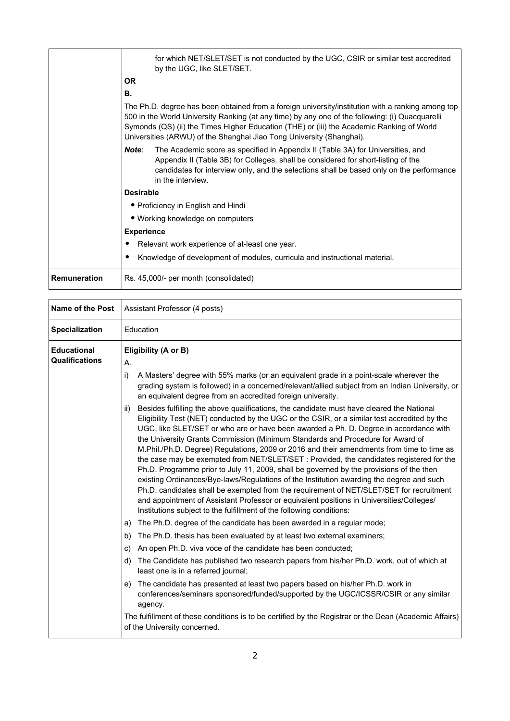|                     | for which NET/SLET/SET is not conducted by the UGC, CSIR or similar test accredited<br>by the UGC, like SLET/SET.                                                                                                                                                                                                                                                         |
|---------------------|---------------------------------------------------------------------------------------------------------------------------------------------------------------------------------------------------------------------------------------------------------------------------------------------------------------------------------------------------------------------------|
|                     | <b>OR</b>                                                                                                                                                                                                                                                                                                                                                                 |
|                     | В.                                                                                                                                                                                                                                                                                                                                                                        |
|                     | The Ph.D. degree has been obtained from a foreign university/institution with a ranking among top<br>500 in the World University Ranking (at any time) by any one of the following: (i) Quacquarelli<br>Symonds (QS) (ii) the Times Higher Education (THE) or (iii) the Academic Ranking of World<br>Universities (ARWU) of the Shanghai Jiao Tong University (Shanghai). |
|                     | Note:<br>The Academic score as specified in Appendix II (Table 3A) for Universities, and<br>Appendix II (Table 3B) for Colleges, shall be considered for short-listing of the<br>candidates for interview only, and the selections shall be based only on the performance<br>in the interview.                                                                            |
|                     | <b>Desirable</b>                                                                                                                                                                                                                                                                                                                                                          |
|                     | • Proficiency in English and Hindi                                                                                                                                                                                                                                                                                                                                        |
|                     | • Working knowledge on computers                                                                                                                                                                                                                                                                                                                                          |
|                     | <b>Experience</b>                                                                                                                                                                                                                                                                                                                                                         |
|                     | Relevant work experience of at-least one year.                                                                                                                                                                                                                                                                                                                            |
|                     | Knowledge of development of modules, curricula and instructional material.                                                                                                                                                                                                                                                                                                |
| <b>Remuneration</b> | Rs. 45,000/- per month (consolidated)                                                                                                                                                                                                                                                                                                                                     |

| <b>Name of the Post</b>                     | Assistant Professor (4 posts)                                                                                                                                                                                                                                                                                                                                                                                                                                                                                                                                                                                                                                                                                                                                                                                                                                                                                                                                                                                                                                                                                                                                                                                                                                                                                                                                                                                                                                                                                                                                                                                                                                                                                                                                                                                                                                                                                                                                                                                                                   |  |
|---------------------------------------------|-------------------------------------------------------------------------------------------------------------------------------------------------------------------------------------------------------------------------------------------------------------------------------------------------------------------------------------------------------------------------------------------------------------------------------------------------------------------------------------------------------------------------------------------------------------------------------------------------------------------------------------------------------------------------------------------------------------------------------------------------------------------------------------------------------------------------------------------------------------------------------------------------------------------------------------------------------------------------------------------------------------------------------------------------------------------------------------------------------------------------------------------------------------------------------------------------------------------------------------------------------------------------------------------------------------------------------------------------------------------------------------------------------------------------------------------------------------------------------------------------------------------------------------------------------------------------------------------------------------------------------------------------------------------------------------------------------------------------------------------------------------------------------------------------------------------------------------------------------------------------------------------------------------------------------------------------------------------------------------------------------------------------------------------------|--|
| <b>Specialization</b>                       | Education                                                                                                                                                                                                                                                                                                                                                                                                                                                                                                                                                                                                                                                                                                                                                                                                                                                                                                                                                                                                                                                                                                                                                                                                                                                                                                                                                                                                                                                                                                                                                                                                                                                                                                                                                                                                                                                                                                                                                                                                                                       |  |
| <b>Educational</b><br><b>Qualifications</b> | Eligibility (A or B)<br>Α.<br>A Masters' degree with 55% marks (or an equivalent grade in a point-scale wherever the<br>i)<br>grading system is followed) in a concerned/relevant/allied subject from an Indian University, or<br>an equivalent degree from an accredited foreign university.<br>Besides fulfilling the above qualifications, the candidate must have cleared the National<br>ii)<br>Eligibility Test (NET) conducted by the UGC or the CSIR, or a similar test accredited by the<br>UGC, like SLET/SET or who are or have been awarded a Ph. D. Degree in accordance with<br>the University Grants Commission (Minimum Standards and Procedure for Award of<br>M.Phil./Ph.D. Degree) Regulations, 2009 or 2016 and their amendments from time to time as<br>the case may be exempted from NET/SLET/SET : Provided, the candidates registered for the<br>Ph.D. Programme prior to July 11, 2009, shall be governed by the provisions of the then<br>existing Ordinances/Bye-laws/Regulations of the Institution awarding the degree and such<br>Ph.D. candidates shall be exempted from the requirement of NET/SLET/SET for recruitment<br>and appointment of Assistant Professor or equivalent positions in Universities/Colleges/<br>Institutions subject to the fulfillment of the following conditions:<br>The Ph.D. degree of the candidate has been awarded in a regular mode;<br>a)<br>The Ph.D. thesis has been evaluated by at least two external examiners;<br>b)<br>An open Ph.D. viva voce of the candidate has been conducted;<br>C)<br>The Candidate has published two research papers from his/her Ph.D. work, out of which at<br>d)<br>least one is in a referred journal;<br>The candidate has presented at least two papers based on his/her Ph.D. work in<br>e)<br>conferences/seminars sponsored/funded/supported by the UGC/ICSSR/CSIR or any similar<br>agency.<br>The fulfillment of these conditions is to be certified by the Registrar or the Dean (Academic Affairs)<br>of the University concerned. |  |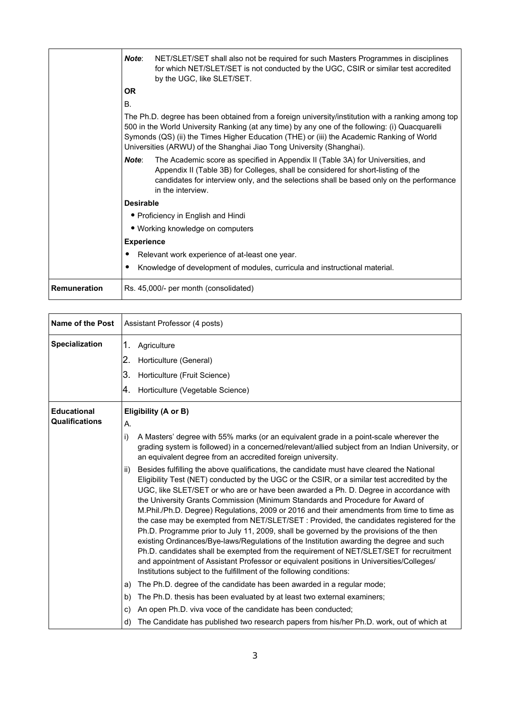|              | Note:             | NET/SLET/SET shall also not be required for such Masters Programmes in disciplines<br>for which NET/SLET/SET is not conducted by the UGC, CSIR or similar test accredited<br>by the UGC, like SLET/SET.                                                                                                                                                                   |
|--------------|-------------------|---------------------------------------------------------------------------------------------------------------------------------------------------------------------------------------------------------------------------------------------------------------------------------------------------------------------------------------------------------------------------|
|              | <b>OR</b>         |                                                                                                                                                                                                                                                                                                                                                                           |
|              | <b>B.</b>         |                                                                                                                                                                                                                                                                                                                                                                           |
|              |                   | The Ph.D. degree has been obtained from a foreign university/institution with a ranking among top<br>500 in the World University Ranking (at any time) by any one of the following: (i) Quacquarelli<br>Symonds (QS) (ii) the Times Higher Education (THE) or (iii) the Academic Ranking of World<br>Universities (ARWU) of the Shanghai Jiao Tong University (Shanghai). |
|              | Note:             | The Academic score as specified in Appendix II (Table 3A) for Universities, and<br>Appendix II (Table 3B) for Colleges, shall be considered for short-listing of the<br>candidates for interview only, and the selections shall be based only on the performance<br>in the interview.                                                                                     |
|              | <b>Desirable</b>  |                                                                                                                                                                                                                                                                                                                                                                           |
|              |                   | • Proficiency in English and Hindi                                                                                                                                                                                                                                                                                                                                        |
|              |                   | • Working knowledge on computers                                                                                                                                                                                                                                                                                                                                          |
|              | <b>Experience</b> |                                                                                                                                                                                                                                                                                                                                                                           |
|              |                   | Relevant work experience of at-least one year.                                                                                                                                                                                                                                                                                                                            |
|              |                   | Knowledge of development of modules, curricula and instructional material.                                                                                                                                                                                                                                                                                                |
| Remuneration |                   | Rs. 45,000/- per month (consolidated)                                                                                                                                                                                                                                                                                                                                     |

| <b>Name of the Post</b>                     | Assistant Professor (4 posts)                                                                                                                                                                                                                                                                                                                                                                                                                                                                                                                                                                                                                                                                                                                                                                                                                                                                                                                                                                                                                                                                                                                                                              |
|---------------------------------------------|--------------------------------------------------------------------------------------------------------------------------------------------------------------------------------------------------------------------------------------------------------------------------------------------------------------------------------------------------------------------------------------------------------------------------------------------------------------------------------------------------------------------------------------------------------------------------------------------------------------------------------------------------------------------------------------------------------------------------------------------------------------------------------------------------------------------------------------------------------------------------------------------------------------------------------------------------------------------------------------------------------------------------------------------------------------------------------------------------------------------------------------------------------------------------------------------|
| <b>Specialization</b>                       | 1.<br>Agriculture<br>2.<br>Horticulture (General)<br>3.<br>Horticulture (Fruit Science)<br>Ι4.<br>Horticulture (Vegetable Science)                                                                                                                                                                                                                                                                                                                                                                                                                                                                                                                                                                                                                                                                                                                                                                                                                                                                                                                                                                                                                                                         |
| <b>Educational</b><br><b>Qualifications</b> | Eligibility (A or B)<br>А.<br>i)<br>A Masters' degree with 55% marks (or an equivalent grade in a point-scale wherever the<br>grading system is followed) in a concerned/relevant/allied subject from an Indian University, or<br>an equivalent degree from an accredited foreign university.                                                                                                                                                                                                                                                                                                                                                                                                                                                                                                                                                                                                                                                                                                                                                                                                                                                                                              |
|                                             | Besides fulfilling the above qualifications, the candidate must have cleared the National<br>ii)<br>Eligibility Test (NET) conducted by the UGC or the CSIR, or a similar test accredited by the<br>UGC, like SLET/SET or who are or have been awarded a Ph. D. Degree in accordance with<br>the University Grants Commission (Minimum Standards and Procedure for Award of<br>M.Phil./Ph.D. Degree) Regulations, 2009 or 2016 and their amendments from time to time as<br>the case may be exempted from NET/SLET/SET : Provided, the candidates registered for the<br>Ph.D. Programme prior to July 11, 2009, shall be governed by the provisions of the then<br>existing Ordinances/Bye-laws/Regulations of the Institution awarding the degree and such<br>Ph.D. candidates shall be exempted from the requirement of NET/SLET/SET for recruitment<br>and appointment of Assistant Professor or equivalent positions in Universities/Colleges/<br>Institutions subject to the fulfillment of the following conditions:<br>The Ph.D. degree of the candidate has been awarded in a regular mode;<br>a)<br>The Ph.D. thesis has been evaluated by at least two external examiners;<br>b) |
|                                             | An open Ph.D. viva voce of the candidate has been conducted;<br>C)<br>The Candidate has published two research papers from his/her Ph.D. work, out of which at<br>d)                                                                                                                                                                                                                                                                                                                                                                                                                                                                                                                                                                                                                                                                                                                                                                                                                                                                                                                                                                                                                       |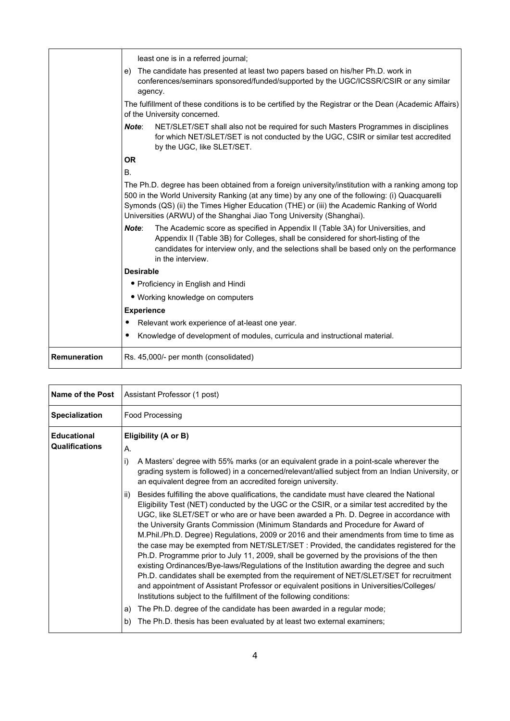|                     | least one is in a referred journal;                                                                                                                                                                                                                                                                                                                                       |
|---------------------|---------------------------------------------------------------------------------------------------------------------------------------------------------------------------------------------------------------------------------------------------------------------------------------------------------------------------------------------------------------------------|
|                     | The candidate has presented at least two papers based on his/her Ph.D. work in<br>e)<br>conferences/seminars sponsored/funded/supported by the UGC/ICSSR/CSIR or any similar<br>agency.                                                                                                                                                                                   |
|                     | The fulfillment of these conditions is to be certified by the Registrar or the Dean (Academic Affairs)<br>of the University concerned.                                                                                                                                                                                                                                    |
|                     | NET/SLET/SET shall also not be required for such Masters Programmes in disciplines<br>Note:<br>for which NET/SLET/SET is not conducted by the UGC, CSIR or similar test accredited<br>by the UGC, like SLET/SET.                                                                                                                                                          |
|                     | <b>OR</b>                                                                                                                                                                                                                                                                                                                                                                 |
| <b>B.</b>           |                                                                                                                                                                                                                                                                                                                                                                           |
|                     | The Ph.D. degree has been obtained from a foreign university/institution with a ranking among top<br>500 in the World University Ranking (at any time) by any one of the following: (i) Quacquarelli<br>Symonds (QS) (ii) the Times Higher Education (THE) or (iii) the Academic Ranking of World<br>Universities (ARWU) of the Shanghai Jiao Tong University (Shanghai). |
|                     | The Academic score as specified in Appendix II (Table 3A) for Universities, and<br>Note:<br>Appendix II (Table 3B) for Colleges, shall be considered for short-listing of the<br>candidates for interview only, and the selections shall be based only on the performance<br>in the interview.                                                                            |
|                     | <b>Desirable</b>                                                                                                                                                                                                                                                                                                                                                          |
|                     | • Proficiency in English and Hindi                                                                                                                                                                                                                                                                                                                                        |
|                     | • Working knowledge on computers                                                                                                                                                                                                                                                                                                                                          |
|                     | <b>Experience</b>                                                                                                                                                                                                                                                                                                                                                         |
|                     | Relevant work experience of at-least one year.                                                                                                                                                                                                                                                                                                                            |
|                     | Knowledge of development of modules, curricula and instructional material.                                                                                                                                                                                                                                                                                                |
| <b>Remuneration</b> | Rs. 45,000/- per month (consolidated)                                                                                                                                                                                                                                                                                                                                     |

| Name of the Post                            | Assistant Professor (1 post)                                                                                                                                                                                                                                                                                                                                                                                                                                                                                                                                                                                                                                                                                                                                                                                                                                                                                                                                                                                                                                                                                                                                                               |  |
|---------------------------------------------|--------------------------------------------------------------------------------------------------------------------------------------------------------------------------------------------------------------------------------------------------------------------------------------------------------------------------------------------------------------------------------------------------------------------------------------------------------------------------------------------------------------------------------------------------------------------------------------------------------------------------------------------------------------------------------------------------------------------------------------------------------------------------------------------------------------------------------------------------------------------------------------------------------------------------------------------------------------------------------------------------------------------------------------------------------------------------------------------------------------------------------------------------------------------------------------------|--|
| <b>Specialization</b>                       | Food Processing                                                                                                                                                                                                                                                                                                                                                                                                                                                                                                                                                                                                                                                                                                                                                                                                                                                                                                                                                                                                                                                                                                                                                                            |  |
| <b>Educational</b><br><b>Qualifications</b> | Eligibility (A or B)<br>А.                                                                                                                                                                                                                                                                                                                                                                                                                                                                                                                                                                                                                                                                                                                                                                                                                                                                                                                                                                                                                                                                                                                                                                 |  |
|                                             | i)<br>A Masters' degree with 55% marks (or an equivalent grade in a point-scale wherever the<br>grading system is followed) in a concerned/relevant/allied subject from an Indian University, or<br>an equivalent degree from an accredited foreign university.                                                                                                                                                                                                                                                                                                                                                                                                                                                                                                                                                                                                                                                                                                                                                                                                                                                                                                                            |  |
|                                             | Besides fulfilling the above qualifications, the candidate must have cleared the National<br>ii)<br>Eligibility Test (NET) conducted by the UGC or the CSIR, or a similar test accredited by the<br>UGC, like SLET/SET or who are or have been awarded a Ph. D. Degree in accordance with<br>the University Grants Commission (Minimum Standards and Procedure for Award of<br>M.Phil./Ph.D. Degree) Regulations, 2009 or 2016 and their amendments from time to time as<br>the case may be exempted from NET/SLET/SET : Provided, the candidates registered for the<br>Ph.D. Programme prior to July 11, 2009, shall be governed by the provisions of the then<br>existing Ordinances/Bye-laws/Regulations of the Institution awarding the degree and such<br>Ph.D. candidates shall be exempted from the requirement of NET/SLET/SET for recruitment<br>and appointment of Assistant Professor or equivalent positions in Universities/Colleges/<br>Institutions subject to the fulfillment of the following conditions:<br>The Ph.D. degree of the candidate has been awarded in a regular mode;<br>a)<br>The Ph.D. thesis has been evaluated by at least two external examiners;<br>b) |  |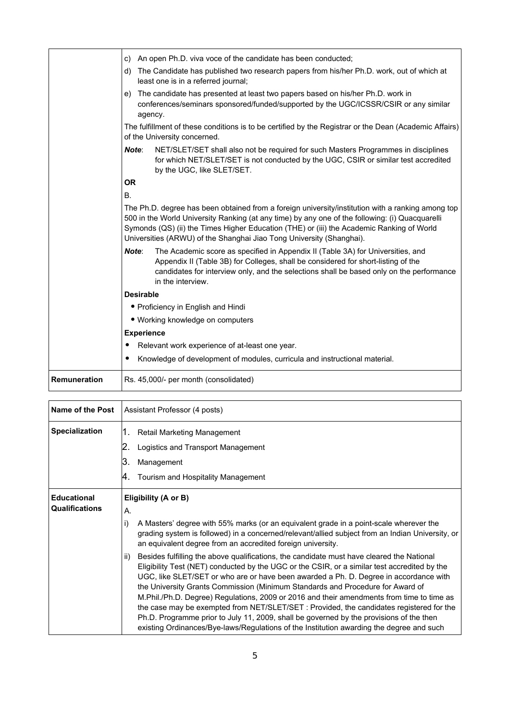|              | An open Ph.D. viva voce of the candidate has been conducted;<br>C)                                                                                                                                                                                                                                                                                                        |
|--------------|---------------------------------------------------------------------------------------------------------------------------------------------------------------------------------------------------------------------------------------------------------------------------------------------------------------------------------------------------------------------------|
|              | d) The Candidate has published two research papers from his/her Ph.D. work, out of which at<br>least one is in a referred journal;                                                                                                                                                                                                                                        |
|              | The candidate has presented at least two papers based on his/her Ph.D. work in<br>e)<br>conferences/seminars sponsored/funded/supported by the UGC/ICSSR/CSIR or any similar<br>agency.                                                                                                                                                                                   |
|              | The fulfillment of these conditions is to be certified by the Registrar or the Dean (Academic Affairs)<br>of the University concerned.                                                                                                                                                                                                                                    |
|              | NET/SLET/SET shall also not be required for such Masters Programmes in disciplines<br>Note:<br>for which NET/SLET/SET is not conducted by the UGC, CSIR or similar test accredited<br>by the UGC, like SLET/SET.                                                                                                                                                          |
|              | <b>OR</b>                                                                                                                                                                                                                                                                                                                                                                 |
|              | <b>B.</b>                                                                                                                                                                                                                                                                                                                                                                 |
|              | The Ph.D. degree has been obtained from a foreign university/institution with a ranking among top<br>500 in the World University Ranking (at any time) by any one of the following: (i) Quacquarelli<br>Symonds (QS) (ii) the Times Higher Education (THE) or (iii) the Academic Ranking of World<br>Universities (ARWU) of the Shanghai Jiao Tong University (Shanghai). |
|              | Note:<br>The Academic score as specified in Appendix II (Table 3A) for Universities, and<br>Appendix II (Table 3B) for Colleges, shall be considered for short-listing of the<br>candidates for interview only, and the selections shall be based only on the performance<br>in the interview.                                                                            |
|              | <b>Desirable</b>                                                                                                                                                                                                                                                                                                                                                          |
|              | • Proficiency in English and Hindi                                                                                                                                                                                                                                                                                                                                        |
|              | • Working knowledge on computers                                                                                                                                                                                                                                                                                                                                          |
|              | <b>Experience</b>                                                                                                                                                                                                                                                                                                                                                         |
|              | Relevant work experience of at-least one year.<br>٠                                                                                                                                                                                                                                                                                                                       |
|              | Knowledge of development of modules, curricula and instructional material.                                                                                                                                                                                                                                                                                                |
| Remuneration | Rs. 45,000/- per month (consolidated)                                                                                                                                                                                                                                                                                                                                     |

| Name of the Post      | Assistant Professor (4 posts)                                                                                                                                                                                                                                                                                                                                                                                                                                                                                                                                                                                                                                                                                                                               |  |
|-----------------------|-------------------------------------------------------------------------------------------------------------------------------------------------------------------------------------------------------------------------------------------------------------------------------------------------------------------------------------------------------------------------------------------------------------------------------------------------------------------------------------------------------------------------------------------------------------------------------------------------------------------------------------------------------------------------------------------------------------------------------------------------------------|--|
| <b>Specialization</b> | Retail Marketing Management<br>1.                                                                                                                                                                                                                                                                                                                                                                                                                                                                                                                                                                                                                                                                                                                           |  |
|                       | Logistics and Transport Management                                                                                                                                                                                                                                                                                                                                                                                                                                                                                                                                                                                                                                                                                                                          |  |
|                       | ΙЗ.<br>Management                                                                                                                                                                                                                                                                                                                                                                                                                                                                                                                                                                                                                                                                                                                                           |  |
|                       | Tourism and Hospitality Management<br>Ι4.                                                                                                                                                                                                                                                                                                                                                                                                                                                                                                                                                                                                                                                                                                                   |  |
| <b>Educational</b>    | Eligibility (A or B)                                                                                                                                                                                                                                                                                                                                                                                                                                                                                                                                                                                                                                                                                                                                        |  |
| <b>Qualifications</b> | А.                                                                                                                                                                                                                                                                                                                                                                                                                                                                                                                                                                                                                                                                                                                                                          |  |
|                       | i)<br>A Masters' degree with 55% marks (or an equivalent grade in a point-scale wherever the<br>grading system is followed) in a concerned/relevant/allied subject from an Indian University, or<br>an equivalent degree from an accredited foreign university.                                                                                                                                                                                                                                                                                                                                                                                                                                                                                             |  |
|                       | Besides fulfilling the above qualifications, the candidate must have cleared the National<br>ii)<br>Eligibility Test (NET) conducted by the UGC or the CSIR, or a similar test accredited by the<br>UGC, like SLET/SET or who are or have been awarded a Ph. D. Degree in accordance with<br>the University Grants Commission (Minimum Standards and Procedure for Award of<br>M.Phil./Ph.D. Degree) Regulations, 2009 or 2016 and their amendments from time to time as<br>the case may be exempted from NET/SLET/SET : Provided, the candidates registered for the<br>Ph.D. Programme prior to July 11, 2009, shall be governed by the provisions of the then<br>existing Ordinances/Bye-laws/Regulations of the Institution awarding the degree and such |  |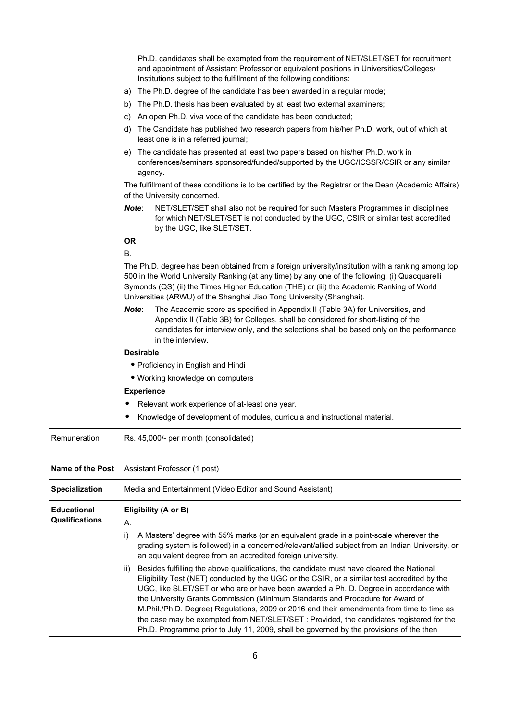|              | Ph.D. candidates shall be exempted from the requirement of NET/SLET/SET for recruitment<br>and appointment of Assistant Professor or equivalent positions in Universities/Colleges/<br>Institutions subject to the fulfillment of the following conditions:<br>The Ph.D. degree of the candidate has been awarded in a regular mode;<br>a)                                |
|--------------|---------------------------------------------------------------------------------------------------------------------------------------------------------------------------------------------------------------------------------------------------------------------------------------------------------------------------------------------------------------------------|
|              | The Ph.D. thesis has been evaluated by at least two external examiners;<br>b)                                                                                                                                                                                                                                                                                             |
|              | An open Ph.D. viva voce of the candidate has been conducted;<br>C)                                                                                                                                                                                                                                                                                                        |
|              | The Candidate has published two research papers from his/her Ph.D. work, out of which at<br>d)<br>least one is in a referred journal;                                                                                                                                                                                                                                     |
|              | The candidate has presented at least two papers based on his/her Ph.D. work in<br>e)<br>conferences/seminars sponsored/funded/supported by the UGC/ICSSR/CSIR or any similar<br>agency.                                                                                                                                                                                   |
|              | The fulfillment of these conditions is to be certified by the Registrar or the Dean (Academic Affairs)<br>of the University concerned.                                                                                                                                                                                                                                    |
|              | Note:<br>NET/SLET/SET shall also not be required for such Masters Programmes in disciplines<br>for which NET/SLET/SET is not conducted by the UGC, CSIR or similar test accredited<br>by the UGC, like SLET/SET.                                                                                                                                                          |
|              | <b>OR</b>                                                                                                                                                                                                                                                                                                                                                                 |
|              | <b>B.</b>                                                                                                                                                                                                                                                                                                                                                                 |
|              | The Ph.D. degree has been obtained from a foreign university/institution with a ranking among top<br>500 in the World University Ranking (at any time) by any one of the following: (i) Quacquarelli<br>Symonds (QS) (ii) the Times Higher Education (THE) or (iii) the Academic Ranking of World<br>Universities (ARWU) of the Shanghai Jiao Tong University (Shanghai). |
|              | Note:<br>The Academic score as specified in Appendix II (Table 3A) for Universities, and<br>Appendix II (Table 3B) for Colleges, shall be considered for short-listing of the<br>candidates for interview only, and the selections shall be based only on the performance<br>in the interview.                                                                            |
|              | <b>Desirable</b>                                                                                                                                                                                                                                                                                                                                                          |
|              | • Proficiency in English and Hindi                                                                                                                                                                                                                                                                                                                                        |
|              | • Working knowledge on computers                                                                                                                                                                                                                                                                                                                                          |
|              | <b>Experience</b>                                                                                                                                                                                                                                                                                                                                                         |
|              | Relevant work experience of at-least one year.                                                                                                                                                                                                                                                                                                                            |
|              | Knowledge of development of modules, curricula and instructional material.                                                                                                                                                                                                                                                                                                |
| Remuneration | Rs. 45,000/- per month (consolidated)                                                                                                                                                                                                                                                                                                                                     |

| <b>Name of the Post</b>                     | Assistant Professor (1 post)                                                                                                                                                                                                                                                                                                                                                                                                                                                                                                                                                                                                                                                                                                                                              |  |
|---------------------------------------------|---------------------------------------------------------------------------------------------------------------------------------------------------------------------------------------------------------------------------------------------------------------------------------------------------------------------------------------------------------------------------------------------------------------------------------------------------------------------------------------------------------------------------------------------------------------------------------------------------------------------------------------------------------------------------------------------------------------------------------------------------------------------------|--|
| <b>Specialization</b>                       | Media and Entertainment (Video Editor and Sound Assistant)                                                                                                                                                                                                                                                                                                                                                                                                                                                                                                                                                                                                                                                                                                                |  |
| <b>Educational</b><br><b>Qualifications</b> | Eligibility (A or B)<br>А.<br>A Masters' degree with 55% marks (or an equivalent grade in a point-scale wherever the<br>i)<br>grading system is followed) in a concerned/relevant/allied subject from an Indian University, or<br>an equivalent degree from an accredited foreign university.<br>Besides fulfilling the above qualifications, the candidate must have cleared the National<br>ii)<br>Eligibility Test (NET) conducted by the UGC or the CSIR, or a similar test accredited by the<br>UGC, like SLET/SET or who are or have been awarded a Ph. D. Degree in accordance with<br>the University Grants Commission (Minimum Standards and Procedure for Award of<br>M.Phil./Ph.D. Degree) Regulations, 2009 or 2016 and their amendments from time to time as |  |
|                                             | the case may be exempted from NET/SLET/SET : Provided, the candidates registered for the<br>Ph.D. Programme prior to July 11, 2009, shall be governed by the provisions of the then                                                                                                                                                                                                                                                                                                                                                                                                                                                                                                                                                                                       |  |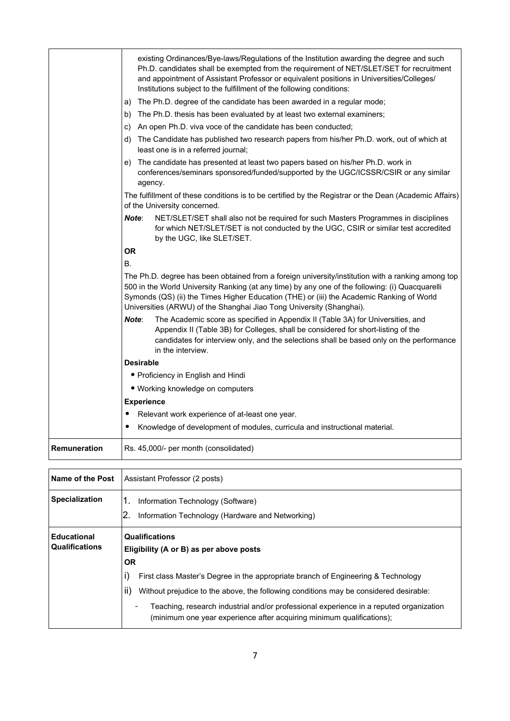|                         | existing Ordinances/Bye-laws/Regulations of the Institution awarding the degree and such<br>Ph.D. candidates shall be exempted from the requirement of NET/SLET/SET for recruitment<br>and appointment of Assistant Professor or equivalent positions in Universities/Colleges/<br>Institutions subject to the fulfillment of the following conditions:<br>The Ph.D. degree of the candidate has been awarded in a regular mode;<br>a)<br>The Ph.D. thesis has been evaluated by at least two external examiners;<br>b)<br>An open Ph.D. viva voce of the candidate has been conducted;<br>C)<br>The Candidate has published two research papers from his/her Ph.D. work, out of which at<br>d)<br>least one is in a referred journal;<br>The candidate has presented at least two papers based on his/her Ph.D. work in<br>e)<br>conferences/seminars sponsored/funded/supported by the UGC/ICSSR/CSIR or any similar<br>agency.<br>The fulfillment of these conditions is to be certified by the Registrar or the Dean (Academic Affairs)<br>of the University concerned. |
|-------------------------|-----------------------------------------------------------------------------------------------------------------------------------------------------------------------------------------------------------------------------------------------------------------------------------------------------------------------------------------------------------------------------------------------------------------------------------------------------------------------------------------------------------------------------------------------------------------------------------------------------------------------------------------------------------------------------------------------------------------------------------------------------------------------------------------------------------------------------------------------------------------------------------------------------------------------------------------------------------------------------------------------------------------------------------------------------------------------------|
|                         | NET/SLET/SET shall also not be required for such Masters Programmes in disciplines<br>Note:<br>for which NET/SLET/SET is not conducted by the UGC, CSIR or similar test accredited<br>by the UGC, like SLET/SET.                                                                                                                                                                                                                                                                                                                                                                                                                                                                                                                                                                                                                                                                                                                                                                                                                                                            |
|                         | <b>OR</b>                                                                                                                                                                                                                                                                                                                                                                                                                                                                                                                                                                                                                                                                                                                                                                                                                                                                                                                                                                                                                                                                   |
|                         | <b>B.</b>                                                                                                                                                                                                                                                                                                                                                                                                                                                                                                                                                                                                                                                                                                                                                                                                                                                                                                                                                                                                                                                                   |
|                         | The Ph.D. degree has been obtained from a foreign university/institution with a ranking among top<br>500 in the World University Ranking (at any time) by any one of the following: (i) Quacquarelli<br>Symonds (QS) (ii) the Times Higher Education (THE) or (iii) the Academic Ranking of World<br>Universities (ARWU) of the Shanghai Jiao Tong University (Shanghai).                                                                                                                                                                                                                                                                                                                                                                                                                                                                                                                                                                                                                                                                                                   |
|                         | Note:<br>The Academic score as specified in Appendix II (Table 3A) for Universities, and<br>Appendix II (Table 3B) for Colleges, shall be considered for short-listing of the<br>candidates for interview only, and the selections shall be based only on the performance<br>in the interview.                                                                                                                                                                                                                                                                                                                                                                                                                                                                                                                                                                                                                                                                                                                                                                              |
|                         | <b>Desirable</b>                                                                                                                                                                                                                                                                                                                                                                                                                                                                                                                                                                                                                                                                                                                                                                                                                                                                                                                                                                                                                                                            |
|                         | • Proficiency in English and Hindi                                                                                                                                                                                                                                                                                                                                                                                                                                                                                                                                                                                                                                                                                                                                                                                                                                                                                                                                                                                                                                          |
|                         | • Working knowledge on computers                                                                                                                                                                                                                                                                                                                                                                                                                                                                                                                                                                                                                                                                                                                                                                                                                                                                                                                                                                                                                                            |
|                         | <b>Experience</b>                                                                                                                                                                                                                                                                                                                                                                                                                                                                                                                                                                                                                                                                                                                                                                                                                                                                                                                                                                                                                                                           |
|                         | Relevant work experience of at-least one year.                                                                                                                                                                                                                                                                                                                                                                                                                                                                                                                                                                                                                                                                                                                                                                                                                                                                                                                                                                                                                              |
|                         | Knowledge of development of modules, curricula and instructional material.                                                                                                                                                                                                                                                                                                                                                                                                                                                                                                                                                                                                                                                                                                                                                                                                                                                                                                                                                                                                  |
| Remuneration            | Rs. 45,000/- per month (consolidated)                                                                                                                                                                                                                                                                                                                                                                                                                                                                                                                                                                                                                                                                                                                                                                                                                                                                                                                                                                                                                                       |
| <b>Name of the Post</b> | Assistant Professor (2 posts)                                                                                                                                                                                                                                                                                                                                                                                                                                                                                                                                                                                                                                                                                                                                                                                                                                                                                                                                                                                                                                               |
| Specialization          | 1.<br>Information Technology (Software)                                                                                                                                                                                                                                                                                                                                                                                                                                                                                                                                                                                                                                                                                                                                                                                                                                                                                                                                                                                                                                     |
|                         | 2.<br>Information Technology (Hardware and Networking)                                                                                                                                                                                                                                                                                                                                                                                                                                                                                                                                                                                                                                                                                                                                                                                                                                                                                                                                                                                                                      |
|                         |                                                                                                                                                                                                                                                                                                                                                                                                                                                                                                                                                                                                                                                                                                                                                                                                                                                                                                                                                                                                                                                                             |

| <b>Educational</b><br><b>Qualifications</b> | <b>Qualifications</b><br>Eligibility (A or B) as per above posts                                                                                                |
|---------------------------------------------|-----------------------------------------------------------------------------------------------------------------------------------------------------------------|
|                                             | <b>OR</b>                                                                                                                                                       |
|                                             | I)<br>First class Master's Degree in the appropriate branch of Engineering & Technology                                                                         |
|                                             | ii)<br>Without prejudice to the above, the following conditions may be considered desirable:                                                                    |
|                                             | Teaching, research industrial and/or professional experience in a reputed organization<br>(minimum one year experience after acquiring minimum qualifications); |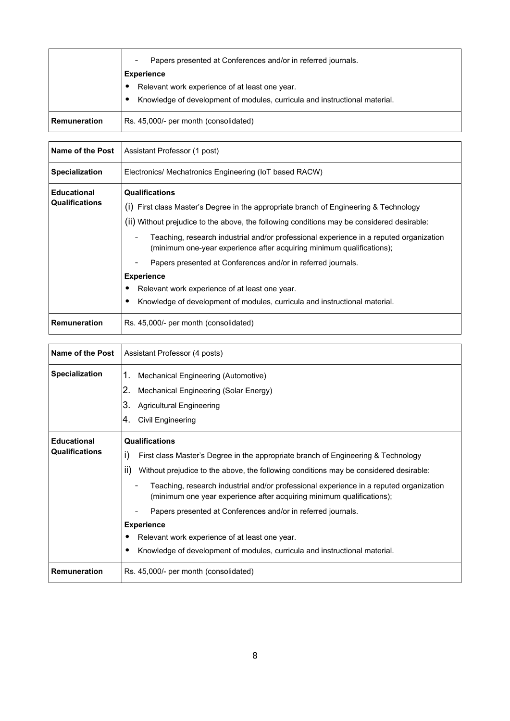|                     | Papers presented at Conferences and/or in referred journals.               |
|---------------------|----------------------------------------------------------------------------|
|                     | <b>Experience</b>                                                          |
|                     | Relevant work experience of at least one year.                             |
|                     | Knowledge of development of modules, curricula and instructional material. |
| <b>Remuneration</b> | Rs. 45,000/- per month (consolidated)                                      |

| Name of the Post                            | Assistant Professor (1 post)                                                                                                                                                                                                                                                                                                                                                                                                                                                                                                                                                                         |
|---------------------------------------------|------------------------------------------------------------------------------------------------------------------------------------------------------------------------------------------------------------------------------------------------------------------------------------------------------------------------------------------------------------------------------------------------------------------------------------------------------------------------------------------------------------------------------------------------------------------------------------------------------|
| <b>Specialization</b>                       | Electronics/ Mechatronics Engineering (IoT based RACW)                                                                                                                                                                                                                                                                                                                                                                                                                                                                                                                                               |
| <b>Educational</b><br><b>Qualifications</b> | <b>Qualifications</b><br>(I) First class Master's Degree in the appropriate branch of Engineering & Technology<br>(ii) Without prejudice to the above, the following conditions may be considered desirable:<br>Teaching, research industrial and/or professional experience in a reputed organization<br>(minimum one-year experience after acquiring minimum qualifications);<br>Papers presented at Conferences and/or in referred journals.<br><b>Experience</b><br>Relevant work experience of at least one year.<br>Knowledge of development of modules, curricula and instructional material. |
| <b>Remuneration</b>                         | Rs. 45,000/- per month (consolidated)                                                                                                                                                                                                                                                                                                                                                                                                                                                                                                                                                                |

| Name of the Post                            | Assistant Professor (4 posts)                                                                                                                                                                                                                                                                                                                                                                                                                                                                                                                                                                            |
|---------------------------------------------|----------------------------------------------------------------------------------------------------------------------------------------------------------------------------------------------------------------------------------------------------------------------------------------------------------------------------------------------------------------------------------------------------------------------------------------------------------------------------------------------------------------------------------------------------------------------------------------------------------|
| <b>Specialization</b>                       | Mechanical Engineering (Automotive)<br>1.<br>2.<br>Mechanical Engineering (Solar Energy)<br>3.<br><b>Agricultural Engineering</b><br>Civil Engineering<br>Ι4.                                                                                                                                                                                                                                                                                                                                                                                                                                            |
| <b>Educational</b><br><b>Qualifications</b> | <b>Qualifications</b><br>i)<br>First class Master's Degree in the appropriate branch of Engineering & Technology<br>ii)<br>Without prejudice to the above, the following conditions may be considered desirable:<br>Teaching, research industrial and/or professional experience in a reputed organization<br>(minimum one year experience after acquiring minimum qualifications);<br>Papers presented at Conferences and/or in referred journals.<br><b>Experience</b><br>Relevant work experience of at least one year.<br>Knowledge of development of modules, curricula and instructional material. |
| Remuneration                                | Rs. 45,000/- per month (consolidated)                                                                                                                                                                                                                                                                                                                                                                                                                                                                                                                                                                    |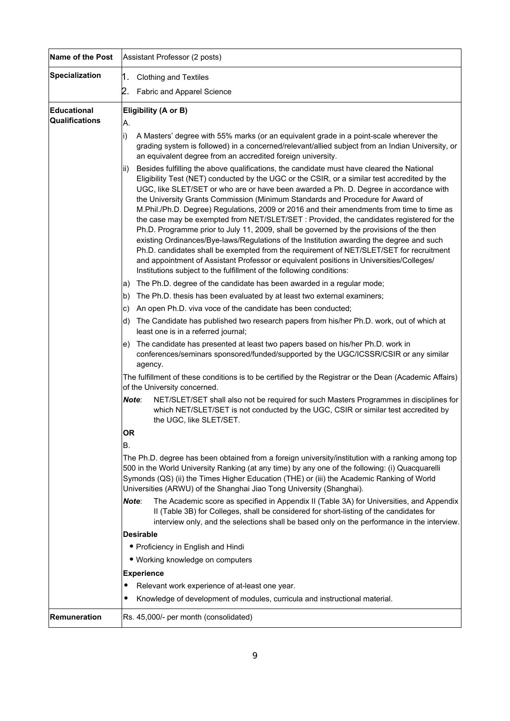| Name of the Post              | Assistant Professor (2 posts)                                                                                                                                                                                                                                                                                                                                                                                                                                                                                                                                                                                                                                                                                                                                                                                                                                                                                                                                                                                              |
|-------------------------------|----------------------------------------------------------------------------------------------------------------------------------------------------------------------------------------------------------------------------------------------------------------------------------------------------------------------------------------------------------------------------------------------------------------------------------------------------------------------------------------------------------------------------------------------------------------------------------------------------------------------------------------------------------------------------------------------------------------------------------------------------------------------------------------------------------------------------------------------------------------------------------------------------------------------------------------------------------------------------------------------------------------------------|
| Specialization                | 1.<br><b>Clothing and Textiles</b>                                                                                                                                                                                                                                                                                                                                                                                                                                                                                                                                                                                                                                                                                                                                                                                                                                                                                                                                                                                         |
|                               | 2.<br>Fabric and Apparel Science                                                                                                                                                                                                                                                                                                                                                                                                                                                                                                                                                                                                                                                                                                                                                                                                                                                                                                                                                                                           |
| Educational<br>Qualifications | Eligibility (A or B)<br>A.                                                                                                                                                                                                                                                                                                                                                                                                                                                                                                                                                                                                                                                                                                                                                                                                                                                                                                                                                                                                 |
|                               | i)<br>A Masters' degree with 55% marks (or an equivalent grade in a point-scale wherever the<br>grading system is followed) in a concerned/relevant/allied subject from an Indian University, or<br>an equivalent degree from an accredited foreign university.                                                                                                                                                                                                                                                                                                                                                                                                                                                                                                                                                                                                                                                                                                                                                            |
|                               | Besides fulfilling the above qualifications, the candidate must have cleared the National<br>ii)<br>Eligibility Test (NET) conducted by the UGC or the CSIR, or a similar test accredited by the<br>UGC, like SLET/SET or who are or have been awarded a Ph. D. Degree in accordance with<br>the University Grants Commission (Minimum Standards and Procedure for Award of<br>M.Phil./Ph.D. Degree) Regulations, 2009 or 2016 and their amendments from time to time as<br>the case may be exempted from NET/SLET/SET : Provided, the candidates registered for the<br>Ph.D. Programme prior to July 11, 2009, shall be governed by the provisions of the then<br>existing Ordinances/Bye-laws/Regulations of the Institution awarding the degree and such<br>Ph.D. candidates shall be exempted from the requirement of NET/SLET/SET for recruitment<br>and appointment of Assistant Professor or equivalent positions in Universities/Colleges/<br>Institutions subject to the fulfillment of the following conditions: |
|                               | The Ph.D. degree of the candidate has been awarded in a regular mode;<br>a)                                                                                                                                                                                                                                                                                                                                                                                                                                                                                                                                                                                                                                                                                                                                                                                                                                                                                                                                                |
|                               | The Ph.D. thesis has been evaluated by at least two external examiners;<br>b)                                                                                                                                                                                                                                                                                                                                                                                                                                                                                                                                                                                                                                                                                                                                                                                                                                                                                                                                              |
|                               | An open Ph.D. viva voce of the candidate has been conducted;<br>C)                                                                                                                                                                                                                                                                                                                                                                                                                                                                                                                                                                                                                                                                                                                                                                                                                                                                                                                                                         |
|                               | The Candidate has published two research papers from his/her Ph.D. work, out of which at<br>d)<br>least one is in a referred journal;                                                                                                                                                                                                                                                                                                                                                                                                                                                                                                                                                                                                                                                                                                                                                                                                                                                                                      |
|                               | The candidate has presented at least two papers based on his/her Ph.D. work in<br>e)<br>conferences/seminars sponsored/funded/supported by the UGC/ICSSR/CSIR or any similar<br>agency.                                                                                                                                                                                                                                                                                                                                                                                                                                                                                                                                                                                                                                                                                                                                                                                                                                    |
|                               | The fulfillment of these conditions is to be certified by the Registrar or the Dean (Academic Affairs)<br>of the University concerned.                                                                                                                                                                                                                                                                                                                                                                                                                                                                                                                                                                                                                                                                                                                                                                                                                                                                                     |
|                               | Note:<br>NET/SLET/SET shall also not be required for such Masters Programmes in disciplines for<br>which NET/SLET/SET is not conducted by the UGC, CSIR or similar test accredited by<br>the UGC, like SLET/SET.                                                                                                                                                                                                                                                                                                                                                                                                                                                                                                                                                                                                                                                                                                                                                                                                           |
|                               | <b>OR</b>                                                                                                                                                                                                                                                                                                                                                                                                                                                                                                                                                                                                                                                                                                                                                                                                                                                                                                                                                                                                                  |
|                               | В.                                                                                                                                                                                                                                                                                                                                                                                                                                                                                                                                                                                                                                                                                                                                                                                                                                                                                                                                                                                                                         |
|                               | The Ph.D. degree has been obtained from a foreign university/institution with a ranking among top<br>500 in the World University Ranking (at any time) by any one of the following: (i) Quacquarelli<br>Symonds (QS) (ii) the Times Higher Education (THE) or (iii) the Academic Ranking of World<br>Universities (ARWU) of the Shanghai Jiao Tong University (Shanghai).                                                                                                                                                                                                                                                                                                                                                                                                                                                                                                                                                                                                                                                  |
|                               | Note:<br>The Academic score as specified in Appendix II (Table 3A) for Universities, and Appendix<br>II (Table 3B) for Colleges, shall be considered for short-listing of the candidates for<br>interview only, and the selections shall be based only on the performance in the interview.                                                                                                                                                                                                                                                                                                                                                                                                                                                                                                                                                                                                                                                                                                                                |
|                               | <b>Desirable</b>                                                                                                                                                                                                                                                                                                                                                                                                                                                                                                                                                                                                                                                                                                                                                                                                                                                                                                                                                                                                           |
|                               | • Proficiency in English and Hindi                                                                                                                                                                                                                                                                                                                                                                                                                                                                                                                                                                                                                                                                                                                                                                                                                                                                                                                                                                                         |
|                               | • Working knowledge on computers                                                                                                                                                                                                                                                                                                                                                                                                                                                                                                                                                                                                                                                                                                                                                                                                                                                                                                                                                                                           |
|                               | <b>Experience</b>                                                                                                                                                                                                                                                                                                                                                                                                                                                                                                                                                                                                                                                                                                                                                                                                                                                                                                                                                                                                          |
|                               | Relevant work experience of at-least one year.                                                                                                                                                                                                                                                                                                                                                                                                                                                                                                                                                                                                                                                                                                                                                                                                                                                                                                                                                                             |
|                               | Knowledge of development of modules, curricula and instructional material.                                                                                                                                                                                                                                                                                                                                                                                                                                                                                                                                                                                                                                                                                                                                                                                                                                                                                                                                                 |
| Remuneration                  | Rs. 45,000/- per month (consolidated)                                                                                                                                                                                                                                                                                                                                                                                                                                                                                                                                                                                                                                                                                                                                                                                                                                                                                                                                                                                      |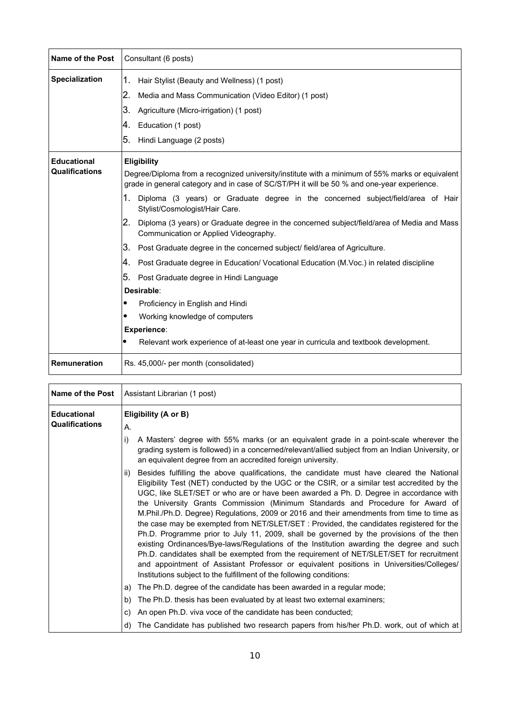| Name of the Post      | Consultant (6 posts)                                                                                                                                                                          |
|-----------------------|-----------------------------------------------------------------------------------------------------------------------------------------------------------------------------------------------|
| <b>Specialization</b> | Hair Stylist (Beauty and Wellness) (1 post)<br>1.                                                                                                                                             |
|                       | 12.<br>Media and Mass Communication (Video Editor) (1 post)                                                                                                                                   |
|                       | 3.<br>Agriculture (Micro-irrigation) (1 post)                                                                                                                                                 |
|                       | Ι4.<br>Education (1 post)                                                                                                                                                                     |
|                       | 5.<br>Hindi Language (2 posts)                                                                                                                                                                |
| <b>Educational</b>    | Eligibility                                                                                                                                                                                   |
| <b>Qualifications</b> | Degree/Diploma from a recognized university/institute with a minimum of 55% marks or equivalent<br>grade in general category and in case of SC/ST/PH it will be 50 % and one-year experience. |
|                       | 1.<br>Diploma (3 years) or Graduate degree in the concerned subject/field/area of Hair<br>Stylist/Cosmologist/Hair Care.                                                                      |
|                       | I2.<br>Diploma (3 years) or Graduate degree in the concerned subject/field/area of Media and Mass<br>Communication or Applied Videography.                                                    |
|                       | ΙЗ.<br>Post Graduate degree in the concerned subject/ field/area of Agriculture.                                                                                                              |
|                       | Ι4.<br>Post Graduate degree in Education/ Vocational Education (M.Voc.) in related discipline                                                                                                 |
|                       | 5.<br>Post Graduate degree in Hindi Language                                                                                                                                                  |
|                       | Desirable:                                                                                                                                                                                    |
|                       | Proficiency in English and Hindi                                                                                                                                                              |
|                       | Working knowledge of computers                                                                                                                                                                |
|                       | <b>Experience:</b>                                                                                                                                                                            |
|                       | Relevant work experience of at-least one year in curricula and textbook development.                                                                                                          |
| <b>Remuneration</b>   | Rs. 45,000/- per month (consolidated)                                                                                                                                                         |

| Name of the Post                            | Assistant Librarian (1 post)                                                                                                                                                                                                                                                                                                                                                                                                                                                                                                                                                                                                                                                                                                                                                                                                                                                                                                                                                                                               |
|---------------------------------------------|----------------------------------------------------------------------------------------------------------------------------------------------------------------------------------------------------------------------------------------------------------------------------------------------------------------------------------------------------------------------------------------------------------------------------------------------------------------------------------------------------------------------------------------------------------------------------------------------------------------------------------------------------------------------------------------------------------------------------------------------------------------------------------------------------------------------------------------------------------------------------------------------------------------------------------------------------------------------------------------------------------------------------|
| <b>Educational</b><br><b>Qualifications</b> | Eligibility (A or B)                                                                                                                                                                                                                                                                                                                                                                                                                                                                                                                                                                                                                                                                                                                                                                                                                                                                                                                                                                                                       |
|                                             | А.                                                                                                                                                                                                                                                                                                                                                                                                                                                                                                                                                                                                                                                                                                                                                                                                                                                                                                                                                                                                                         |
|                                             | i)<br>A Masters' degree with 55% marks (or an equivalent grade in a point-scale wherever the<br>grading system is followed) in a concerned/relevant/allied subject from an Indian University, or<br>an equivalent degree from an accredited foreign university.                                                                                                                                                                                                                                                                                                                                                                                                                                                                                                                                                                                                                                                                                                                                                            |
|                                             | Besides fulfilling the above qualifications, the candidate must have cleared the National<br>ii)<br>Eligibility Test (NET) conducted by the UGC or the CSIR, or a similar test accredited by the<br>UGC, like SLET/SET or who are or have been awarded a Ph. D. Degree in accordance with<br>the University Grants Commission (Minimum Standards and Procedure for Award of<br>M.Phil./Ph.D. Degree) Regulations, 2009 or 2016 and their amendments from time to time as<br>the case may be exempted from NET/SLET/SET : Provided, the candidates registered for the<br>Ph.D. Programme prior to July 11, 2009, shall be governed by the provisions of the then<br>existing Ordinances/Bye-laws/Regulations of the Institution awarding the degree and such<br>Ph.D. candidates shall be exempted from the requirement of NET/SLET/SET for recruitment<br>and appointment of Assistant Professor or equivalent positions in Universities/Colleges/<br>Institutions subject to the fulfillment of the following conditions: |
|                                             | The Ph.D. degree of the candidate has been awarded in a regular mode;<br>a)                                                                                                                                                                                                                                                                                                                                                                                                                                                                                                                                                                                                                                                                                                                                                                                                                                                                                                                                                |
|                                             | The Ph.D. thesis has been evaluated by at least two external examiners;<br>b)                                                                                                                                                                                                                                                                                                                                                                                                                                                                                                                                                                                                                                                                                                                                                                                                                                                                                                                                              |
|                                             | An open Ph.D. viva voce of the candidate has been conducted;<br>C)                                                                                                                                                                                                                                                                                                                                                                                                                                                                                                                                                                                                                                                                                                                                                                                                                                                                                                                                                         |
|                                             | The Candidate has published two research papers from his/her Ph.D. work, out of which at<br>d)                                                                                                                                                                                                                                                                                                                                                                                                                                                                                                                                                                                                                                                                                                                                                                                                                                                                                                                             |

h

 $\mathbf{r}$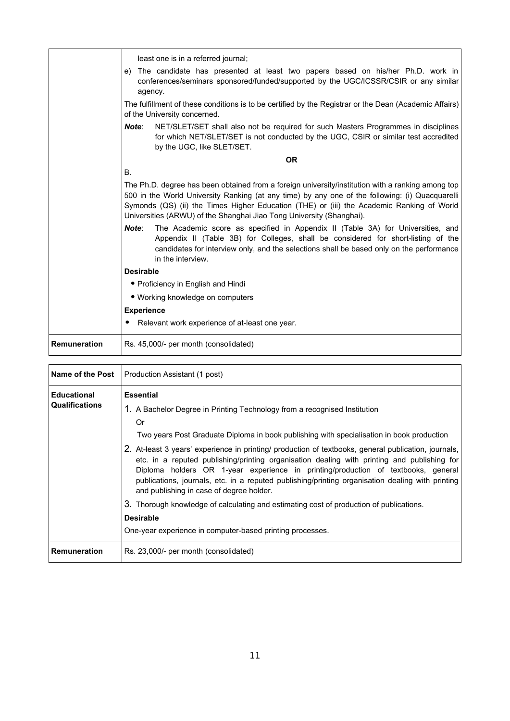|                     | least one is in a referred journal;                                                                                                                                                                                                                                                                                                                                       |
|---------------------|---------------------------------------------------------------------------------------------------------------------------------------------------------------------------------------------------------------------------------------------------------------------------------------------------------------------------------------------------------------------------|
|                     | The candidate has presented at least two papers based on his/her Ph.D. work in<br>e)<br>conferences/seminars sponsored/funded/supported by the UGC/ICSSR/CSIR or any similar<br>agency.                                                                                                                                                                                   |
|                     | The fulfillment of these conditions is to be certified by the Registrar or the Dean (Academic Affairs)<br>of the University concerned.                                                                                                                                                                                                                                    |
|                     | Note:<br>NET/SLET/SET shall also not be required for such Masters Programmes in disciplines<br>for which NET/SLET/SET is not conducted by the UGC, CSIR or similar test accredited<br>by the UGC, like SLET/SET.                                                                                                                                                          |
|                     | <b>OR</b>                                                                                                                                                                                                                                                                                                                                                                 |
|                     | В.                                                                                                                                                                                                                                                                                                                                                                        |
|                     | The Ph.D. degree has been obtained from a foreign university/institution with a ranking among top<br>500 in the World University Ranking (at any time) by any one of the following: (i) Quacquarelli<br>Symonds (QS) (ii) the Times Higher Education (THE) or (iii) the Academic Ranking of World<br>Universities (ARWU) of the Shanghai Jiao Tong University (Shanghai). |
|                     | Note:<br>The Academic score as specified in Appendix II (Table 3A) for Universities, and<br>Appendix II (Table 3B) for Colleges, shall be considered for short-listing of the<br>candidates for interview only, and the selections shall be based only on the performance<br>in the interview.                                                                            |
|                     | <b>Desirable</b>                                                                                                                                                                                                                                                                                                                                                          |
|                     | • Proficiency in English and Hindi                                                                                                                                                                                                                                                                                                                                        |
|                     | • Working knowledge on computers                                                                                                                                                                                                                                                                                                                                          |
|                     | <b>Experience</b>                                                                                                                                                                                                                                                                                                                                                         |
|                     | Relevant work experience of at-least one year.                                                                                                                                                                                                                                                                                                                            |
| <b>Remuneration</b> | Rs. 45,000/- per month (consolidated)                                                                                                                                                                                                                                                                                                                                     |

| <b>Name of the Post</b>                     | Production Assistant (1 post)                                                                                                                                                                                                                                                                                                                                                                                                                                                                                                                                                                                                                                                                                                                               |
|---------------------------------------------|-------------------------------------------------------------------------------------------------------------------------------------------------------------------------------------------------------------------------------------------------------------------------------------------------------------------------------------------------------------------------------------------------------------------------------------------------------------------------------------------------------------------------------------------------------------------------------------------------------------------------------------------------------------------------------------------------------------------------------------------------------------|
| <b>Educational</b><br><b>Qualifications</b> | <b>Essential</b><br>1. A Bachelor Degree in Printing Technology from a recognised Institution<br>Or<br>Two years Post Graduate Diploma in book publishing with specialisation in book production<br>2. At-least 3 years' experience in printing/ production of textbooks, general publication, journals,<br>etc. in a reputed publishing/printing organisation dealing with printing and publishing for<br>Diploma holders OR 1-year experience in printing/production of textbooks, general<br>publications, journals, etc. in a reputed publishing/printing organisation dealing with printing<br>and publishing in case of degree holder.<br>3. Thorough knowledge of calculating and estimating cost of production of publications.<br><b>Desirable</b> |
|                                             | One-year experience in computer-based printing processes.                                                                                                                                                                                                                                                                                                                                                                                                                                                                                                                                                                                                                                                                                                   |
| Remuneration                                | Rs. 23,000/- per month (consolidated)                                                                                                                                                                                                                                                                                                                                                                                                                                                                                                                                                                                                                                                                                                                       |

 $\overline{\phantom{0}}$ 

 $\mathbf{r}$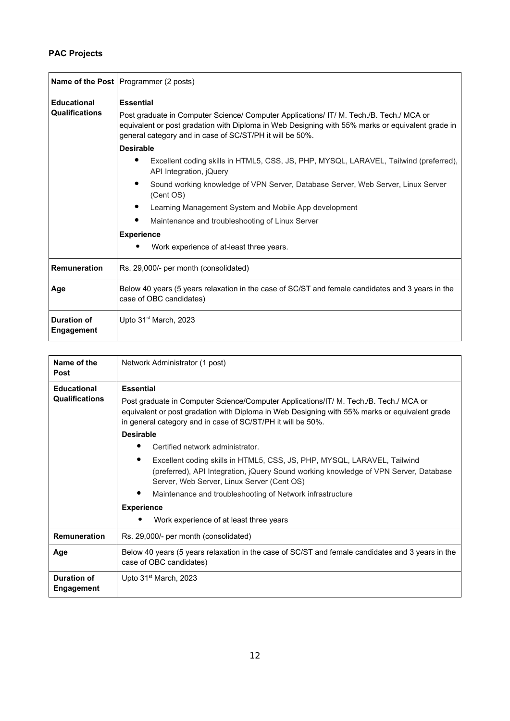## **PAC Projects**

|                                             | <b>Name of the Post</b> Programmer (2 posts)                                                                                                                                                                                                                                                                                                                                                                                                                                                                                                                                                                                                                                                      |
|---------------------------------------------|---------------------------------------------------------------------------------------------------------------------------------------------------------------------------------------------------------------------------------------------------------------------------------------------------------------------------------------------------------------------------------------------------------------------------------------------------------------------------------------------------------------------------------------------------------------------------------------------------------------------------------------------------------------------------------------------------|
| <b>Educational</b><br><b>Qualifications</b> | <b>Essential</b><br>Post graduate in Computer Science/ Computer Applications/ IT/ M. Tech./B. Tech./ MCA or<br>equivalent or post gradation with Diploma in Web Designing with 55% marks or equivalent grade in<br>general category and in case of SC/ST/PH it will be 50%.<br><b>Desirable</b><br>Excellent coding skills in HTML5, CSS, JS, PHP, MYSQL, LARAVEL, Tailwind (preferred),<br>API Integration, jQuery<br>Sound working knowledge of VPN Server, Database Server, Web Server, Linux Server<br>(Cent OS)<br>Learning Management System and Mobile App development<br>Maintenance and troubleshooting of Linux Server<br><b>Experience</b><br>Work experience of at-least three years. |
| Remuneration                                | Rs. 29,000/- per month (consolidated)                                                                                                                                                                                                                                                                                                                                                                                                                                                                                                                                                                                                                                                             |
| Age                                         | Below 40 years (5 years relaxation in the case of SC/ST and female candidates and 3 years in the<br>case of OBC candidates)                                                                                                                                                                                                                                                                                                                                                                                                                                                                                                                                                                       |
| <b>Duration of</b><br><b>Engagement</b>     | Upto $31st$ March, 2023                                                                                                                                                                                                                                                                                                                                                                                                                                                                                                                                                                                                                                                                           |

| Name of the<br><b>Post</b>                  | Network Administrator (1 post)                                                                                                                                                                                                                                                                                                                                                                                                                                                                                                                                                                                                                                                        |
|---------------------------------------------|---------------------------------------------------------------------------------------------------------------------------------------------------------------------------------------------------------------------------------------------------------------------------------------------------------------------------------------------------------------------------------------------------------------------------------------------------------------------------------------------------------------------------------------------------------------------------------------------------------------------------------------------------------------------------------------|
| <b>Educational</b><br><b>Qualifications</b> | <b>Essential</b><br>Post graduate in Computer Science/Computer Applications/IT/ M. Tech./B. Tech./ MCA or<br>equivalent or post gradation with Diploma in Web Designing with 55% marks or equivalent grade<br>in general category and in case of SC/ST/PH it will be 50%.<br><b>Desirable</b><br>Certified network administrator.<br>Excellent coding skills in HTML5, CSS, JS, PHP, MYSQL, LARAVEL, Tailwind<br>(preferred), API Integration, jQuery Sound working knowledge of VPN Server, Database<br>Server, Web Server, Linux Server (Cent OS)<br>٠<br>Maintenance and troubleshooting of Network infrastructure<br><b>Experience</b><br>Work experience of at least three years |
| <b>Remuneration</b>                         | Rs. 29,000/- per month (consolidated)                                                                                                                                                                                                                                                                                                                                                                                                                                                                                                                                                                                                                                                 |
| Age                                         | Below 40 years (5 years relaxation in the case of SC/ST and female candidates and 3 years in the<br>case of OBC candidates)                                                                                                                                                                                                                                                                                                                                                                                                                                                                                                                                                           |
| Duration of<br>Engagement                   | Upto $31st$ March, 2023                                                                                                                                                                                                                                                                                                                                                                                                                                                                                                                                                                                                                                                               |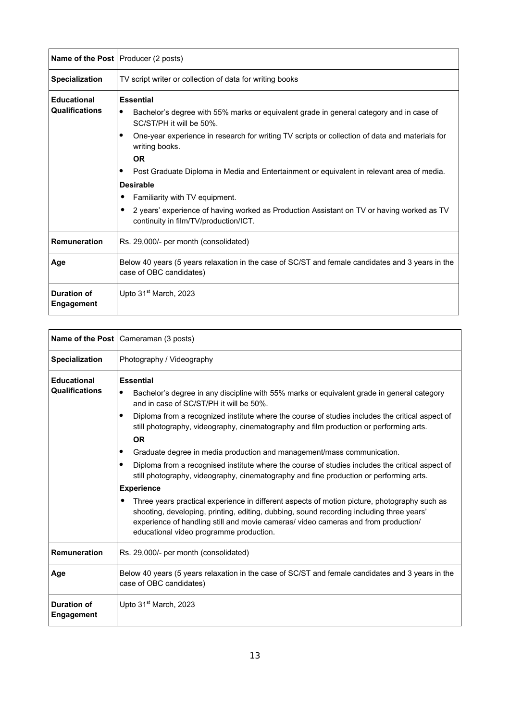|                                             | Name of the Post   Producer (2 posts)                                                                                                                                                                                                                                                                                                                                                                                                                                                                                                                                                 |
|---------------------------------------------|---------------------------------------------------------------------------------------------------------------------------------------------------------------------------------------------------------------------------------------------------------------------------------------------------------------------------------------------------------------------------------------------------------------------------------------------------------------------------------------------------------------------------------------------------------------------------------------|
| <b>Specialization</b>                       | TV script writer or collection of data for writing books                                                                                                                                                                                                                                                                                                                                                                                                                                                                                                                              |
| <b>Educational</b><br><b>Qualifications</b> | <b>Essential</b><br>Bachelor's degree with 55% marks or equivalent grade in general category and in case of<br>٠<br>SC/ST/PH it will be 50%.<br>One-year experience in research for writing TV scripts or collection of data and materials for<br>٠<br>writing books.<br><b>OR</b><br>Post Graduate Diploma in Media and Entertainment or equivalent in relevant area of media.<br>٠<br><b>Desirable</b><br>Familiarity with TV equipment.<br>2 years' experience of having worked as Production Assistant on TV or having worked as TV<br>٠<br>continuity in film/TV/production/ICT. |
| <b>Remuneration</b>                         | Rs. 29,000/- per month (consolidated)                                                                                                                                                                                                                                                                                                                                                                                                                                                                                                                                                 |
| Age                                         | Below 40 years (5 years relaxation in the case of SC/ST and female candidates and 3 years in the<br>case of OBC candidates)                                                                                                                                                                                                                                                                                                                                                                                                                                                           |
| <b>Duration of</b><br>Engagement            | Upto $31st$ March, 2023                                                                                                                                                                                                                                                                                                                                                                                                                                                                                                                                                               |

|                                  | <b>Name of the Post</b>   Cameraman (3 posts)                                                                                                                                                                                                                                                                            |
|----------------------------------|--------------------------------------------------------------------------------------------------------------------------------------------------------------------------------------------------------------------------------------------------------------------------------------------------------------------------|
| <b>Specialization</b>            | Photography / Videography                                                                                                                                                                                                                                                                                                |
| <b>Educational</b>               | <b>Essential</b>                                                                                                                                                                                                                                                                                                         |
| <b>Qualifications</b>            | Bachelor's degree in any discipline with 55% marks or equivalent grade in general category<br>$\bullet$<br>and in case of SC/ST/PH it will be 50%.                                                                                                                                                                       |
|                                  | Diploma from a recognized institute where the course of studies includes the critical aspect of<br>٠<br>still photography, videography, cinematography and film production or performing arts.                                                                                                                           |
|                                  | <b>OR</b>                                                                                                                                                                                                                                                                                                                |
|                                  | Graduate degree in media production and management/mass communication.<br>٠                                                                                                                                                                                                                                              |
|                                  | Diploma from a recognised institute where the course of studies includes the critical aspect of<br>٠<br>still photography, videography, cinematography and fine production or performing arts.                                                                                                                           |
|                                  | <b>Experience</b>                                                                                                                                                                                                                                                                                                        |
|                                  | Three years practical experience in different aspects of motion picture, photography such as<br>shooting, developing, printing, editing, dubbing, sound recording including three years'<br>experience of handling still and movie cameras/video cameras and from production/<br>educational video programme production. |
| <b>Remuneration</b>              | Rs. 29,000/- per month (consolidated)                                                                                                                                                                                                                                                                                    |
| Age                              | Below 40 years (5 years relaxation in the case of SC/ST and female candidates and 3 years in the<br>case of OBC candidates)                                                                                                                                                                                              |
| <b>Duration of</b><br>Engagement | Upto 31 <sup>st</sup> March, 2023                                                                                                                                                                                                                                                                                        |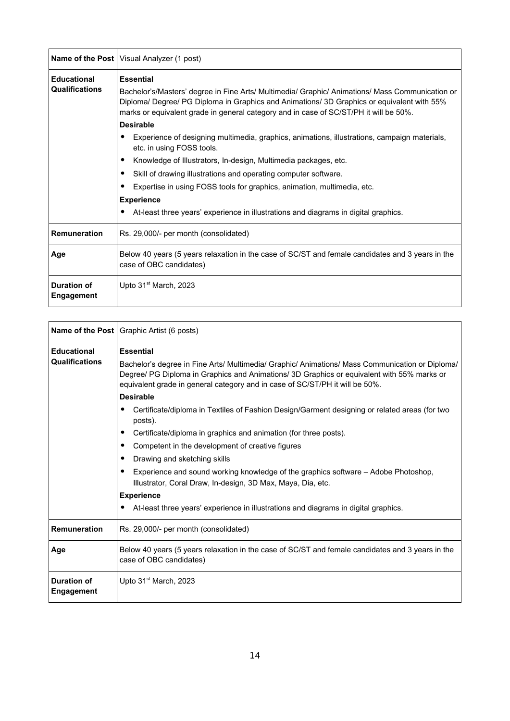|                                             | <b>Name of the Post</b>   Visual Analyzer (1 post)                                                                                                                                                                                                                                                                                                                                                                                                                                                                                                                                                                                                                                                                                                                                                                |
|---------------------------------------------|-------------------------------------------------------------------------------------------------------------------------------------------------------------------------------------------------------------------------------------------------------------------------------------------------------------------------------------------------------------------------------------------------------------------------------------------------------------------------------------------------------------------------------------------------------------------------------------------------------------------------------------------------------------------------------------------------------------------------------------------------------------------------------------------------------------------|
| <b>Educational</b><br><b>Qualifications</b> | <b>Essential</b><br>Bachelor's/Masters' degree in Fine Arts/ Multimedia/ Graphic/ Animations/ Mass Communication or<br>Diploma/ Degree/ PG Diploma in Graphics and Animations/ 3D Graphics or equivalent with 55%<br>marks or equivalent grade in general category and in case of SC/ST/PH it will be 50%.<br><b>Desirable</b><br>Experience of designing multimedia, graphics, animations, illustrations, campaign materials,<br>٠<br>etc. in using FOSS tools.<br>Knowledge of Illustrators, In-design, Multimedia packages, etc.<br>٠<br>Skill of drawing illustrations and operating computer software.<br>٠<br>Expertise in using FOSS tools for graphics, animation, multimedia, etc.<br>٠<br><b>Experience</b><br>At-least three years' experience in illustrations and diagrams in digital graphics.<br>٠ |
| <b>Remuneration</b>                         | Rs. 29,000/- per month (consolidated)                                                                                                                                                                                                                                                                                                                                                                                                                                                                                                                                                                                                                                                                                                                                                                             |
| Age                                         | Below 40 years (5 years relaxation in the case of SC/ST and female candidates and 3 years in the<br>case of OBC candidates)                                                                                                                                                                                                                                                                                                                                                                                                                                                                                                                                                                                                                                                                                       |
| <b>Duration of</b><br>Engagement            | Upto 31 <sup>st</sup> March, 2023                                                                                                                                                                                                                                                                                                                                                                                                                                                                                                                                                                                                                                                                                                                                                                                 |

|                                             | <b>Name of the Post</b>   Graphic Artist (6 posts)                                                                                                                                                                                                                                                                                                                                                                                                                                                                                                                                                                                                                                                                                                                                                                                                                                  |
|---------------------------------------------|-------------------------------------------------------------------------------------------------------------------------------------------------------------------------------------------------------------------------------------------------------------------------------------------------------------------------------------------------------------------------------------------------------------------------------------------------------------------------------------------------------------------------------------------------------------------------------------------------------------------------------------------------------------------------------------------------------------------------------------------------------------------------------------------------------------------------------------------------------------------------------------|
| <b>Educational</b><br><b>Qualifications</b> | <b>Essential</b><br>Bachelor's degree in Fine Arts/ Multimedia/ Graphic/ Animations/ Mass Communication or Diploma/<br>Degree/ PG Diploma in Graphics and Animations/ 3D Graphics or equivalent with 55% marks or<br>equivalent grade in general category and in case of SC/ST/PH it will be 50%.<br><b>Desirable</b><br>Certificate/diploma in Textiles of Fashion Design/Garment designing or related areas (for two<br>٠<br>posts).<br>Certificate/diploma in graphics and animation (for three posts).<br>٠<br>Competent in the development of creative figures<br>٠<br>Drawing and sketching skills<br>٠<br>Experience and sound working knowledge of the graphics software - Adobe Photoshop,<br>٠<br>Illustrator, Coral Draw, In-design, 3D Max, Maya, Dia, etc.<br><b>Experience</b><br>At-least three years' experience in illustrations and diagrams in digital graphics. |
| <b>Remuneration</b>                         | Rs. 29,000/- per month (consolidated)                                                                                                                                                                                                                                                                                                                                                                                                                                                                                                                                                                                                                                                                                                                                                                                                                                               |
| Age                                         | Below 40 years (5 years relaxation in the case of SC/ST and female candidates and 3 years in the<br>case of OBC candidates)                                                                                                                                                                                                                                                                                                                                                                                                                                                                                                                                                                                                                                                                                                                                                         |
| <b>Duration of</b><br>Engagement            | Upto 31 <sup>st</sup> March, 2023                                                                                                                                                                                                                                                                                                                                                                                                                                                                                                                                                                                                                                                                                                                                                                                                                                                   |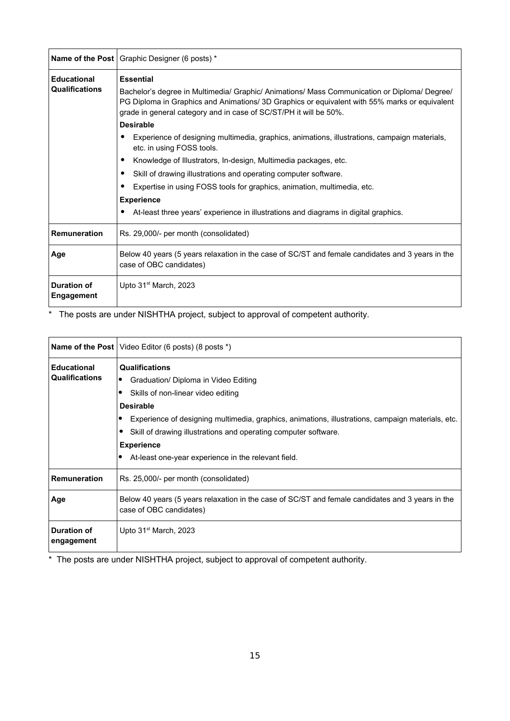|                                             | <b>Name of the Post</b>   Graphic Designer (6 posts) *                                                                                                                                                                                                                                                                                                                                                                                                                |
|---------------------------------------------|-----------------------------------------------------------------------------------------------------------------------------------------------------------------------------------------------------------------------------------------------------------------------------------------------------------------------------------------------------------------------------------------------------------------------------------------------------------------------|
| <b>Educational</b><br><b>Qualifications</b> | <b>Essential</b><br>Bachelor's degree in Multimedia/ Graphic/ Animations/ Mass Communication or Diploma/ Degree/<br>PG Diploma in Graphics and Animations/ 3D Graphics or equivalent with 55% marks or equivalent<br>grade in general category and in case of SC/ST/PH it will be 50%.<br><b>Desirable</b>                                                                                                                                                            |
|                                             | Experience of designing multimedia, graphics, animations, illustrations, campaign materials,<br>٠<br>etc. in using FOSS tools.<br>Knowledge of Illustrators, In-design, Multimedia packages, etc.<br>٠<br>Skill of drawing illustrations and operating computer software.<br>٠<br>Expertise in using FOSS tools for graphics, animation, multimedia, etc.<br><b>Experience</b><br>At-least three years' experience in illustrations and diagrams in digital graphics. |
| <b>Remuneration</b>                         | Rs. 29,000/- per month (consolidated)                                                                                                                                                                                                                                                                                                                                                                                                                                 |
| Age                                         | Below 40 years (5 years relaxation in the case of SC/ST and female candidates and 3 years in the<br>case of OBC candidates)                                                                                                                                                                                                                                                                                                                                           |
| <b>Duration of</b><br><b>Engagement</b>     | Upto $31st$ March, 2023                                                                                                                                                                                                                                                                                                                                                                                                                                               |

\* The posts are under NISHTHA project, subject to approval of competent authority.

|                                             | <b>Name of the Post</b>   Video Editor (6 posts) (8 posts $*$ )                                                                                                                                                                                                                                                                                                                          |
|---------------------------------------------|------------------------------------------------------------------------------------------------------------------------------------------------------------------------------------------------------------------------------------------------------------------------------------------------------------------------------------------------------------------------------------------|
| <b>Educational</b><br><b>Qualifications</b> | <b>Qualifications</b><br>Graduation/ Diploma in Video Editing<br>$\bullet$<br>Skills of non-linear video editing<br><b>Desirable</b><br>Experience of designing multimedia, graphics, animations, illustrations, campaign materials, etc.<br>Skill of drawing illustrations and operating computer software.<br><b>Experience</b><br>At-least one-year experience in the relevant field. |
| <b>Remuneration</b>                         | Rs. 25,000/- per month (consolidated)                                                                                                                                                                                                                                                                                                                                                    |
| Age                                         | Below 40 years (5 years relaxation in the case of SC/ST and female candidates and 3 years in the<br>case of OBC candidates)                                                                                                                                                                                                                                                              |
| <b>Duration of</b><br>engagement            | Upto 31 <sup>st</sup> March, 2023                                                                                                                                                                                                                                                                                                                                                        |

\* The posts are under NISHTHA project, subject to approval of competent authority.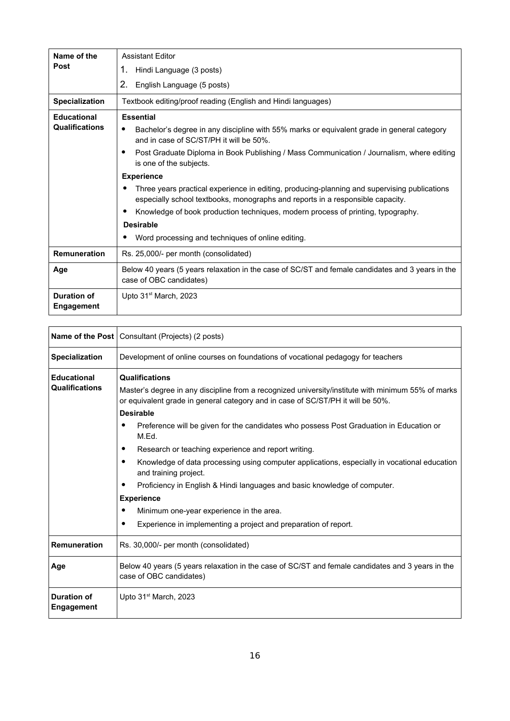| Name of the                             | <b>Assistant Editor</b>                                                                                                                                                        |
|-----------------------------------------|--------------------------------------------------------------------------------------------------------------------------------------------------------------------------------|
| <b>Post</b>                             | 1.<br>Hindi Language (3 posts)                                                                                                                                                 |
|                                         | 2.<br>English Language (5 posts)                                                                                                                                               |
| <b>Specialization</b>                   | Textbook editing/proof reading (English and Hindi languages)                                                                                                                   |
| <b>Educational</b>                      | <b>Essential</b>                                                                                                                                                               |
| <b>Qualifications</b>                   | Bachelor's degree in any discipline with 55% marks or equivalent grade in general category<br>٠<br>and in case of SC/ST/PH it will be 50%.                                     |
|                                         | Post Graduate Diploma in Book Publishing / Mass Communication / Journalism, where editing<br>is one of the subjects.                                                           |
|                                         | <b>Experience</b>                                                                                                                                                              |
|                                         | Three years practical experience in editing, producing-planning and supervising publications<br>especially school textbooks, monographs and reports in a responsible capacity. |
|                                         | Knowledge of book production techniques, modern process of printing, typography.                                                                                               |
|                                         | <b>Desirable</b>                                                                                                                                                               |
|                                         | Word processing and techniques of online editing.                                                                                                                              |
| <b>Remuneration</b>                     | Rs. 25,000/- per month (consolidated)                                                                                                                                          |
| Age                                     | Below 40 years (5 years relaxation in the case of SC/ST and female candidates and 3 years in the<br>case of OBC candidates)                                                    |
| <b>Duration of</b><br><b>Engagement</b> | Upto 31 <sup>st</sup> March, 2023                                                                                                                                              |
|                                         |                                                                                                                                                                                |

|                                  | Name of the Post   Consultant (Projects) (2 posts)                                                                                                                                    |
|----------------------------------|---------------------------------------------------------------------------------------------------------------------------------------------------------------------------------------|
| <b>Specialization</b>            | Development of online courses on foundations of vocational pedagogy for teachers                                                                                                      |
| <b>Educational</b>               | <b>Qualifications</b>                                                                                                                                                                 |
| <b>Qualifications</b>            | Master's degree in any discipline from a recognized university/institute with minimum 55% of marks<br>or equivalent grade in general category and in case of SC/ST/PH it will be 50%. |
|                                  | <b>Desirable</b>                                                                                                                                                                      |
|                                  | Preference will be given for the candidates who possess Post Graduation in Education or<br>M.Ed.                                                                                      |
|                                  | Research or teaching experience and report writing.                                                                                                                                   |
|                                  | Knowledge of data processing using computer applications, especially in vocational education<br>and training project.                                                                 |
|                                  | Proficiency in English & Hindi languages and basic knowledge of computer.                                                                                                             |
|                                  | <b>Experience</b>                                                                                                                                                                     |
|                                  | Minimum one-year experience in the area.                                                                                                                                              |
|                                  | Experience in implementing a project and preparation of report.                                                                                                                       |
| <b>Remuneration</b>              | Rs. 30,000/- per month (consolidated)                                                                                                                                                 |
| Age                              | Below 40 years (5 years relaxation in the case of SC/ST and female candidates and 3 years in the<br>case of OBC candidates)                                                           |
| <b>Duration of</b><br>Engagement | Upto 31 <sup>st</sup> March, 2023                                                                                                                                                     |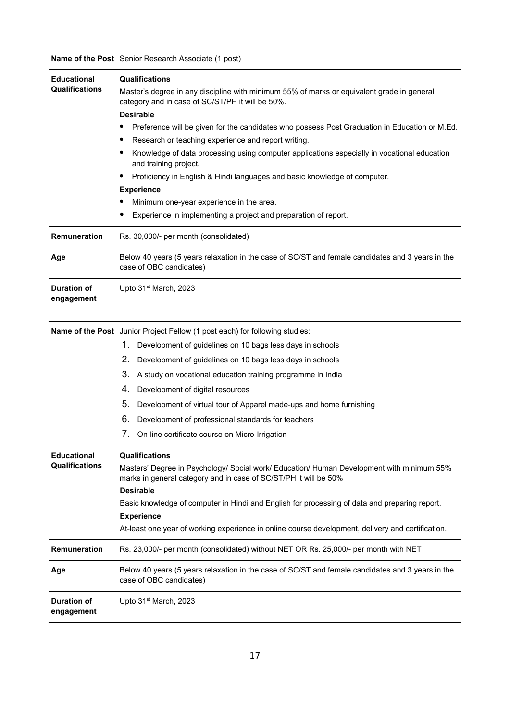|                                  | <b>Name of the Post</b> Senior Research Associate (1 post)                                                                                     |
|----------------------------------|------------------------------------------------------------------------------------------------------------------------------------------------|
| <b>Educational</b>               | <b>Qualifications</b>                                                                                                                          |
| <b>Qualifications</b>            | Master's degree in any discipline with minimum 55% of marks or equivalent grade in general<br>category and in case of SC/ST/PH it will be 50%. |
|                                  | <b>Desirable</b>                                                                                                                               |
|                                  | Preference will be given for the candidates who possess Post Graduation in Education or M.Ed.<br>٠                                             |
|                                  | Research or teaching experience and report writing.<br>٠                                                                                       |
|                                  | Knowledge of data processing using computer applications especially in vocational education<br>and training project.                           |
|                                  | Proficiency in English & Hindi languages and basic knowledge of computer.                                                                      |
|                                  | <b>Experience</b>                                                                                                                              |
|                                  | Minimum one-year experience in the area.<br>٠                                                                                                  |
|                                  | Experience in implementing a project and preparation of report.<br>$\bullet$                                                                   |
| <b>Remuneration</b>              | Rs. 30,000/- per month (consolidated)                                                                                                          |
| Age                              | Below 40 years (5 years relaxation in the case of SC/ST and female candidates and 3 years in the<br>case of OBC candidates)                    |
| <b>Duration of</b><br>engagement | Upto 31 <sup>st</sup> March, 2023                                                                                                              |

| Name of the Post                 | Junior Project Fellow (1 post each) for following studies:                                                                                                    |
|----------------------------------|---------------------------------------------------------------------------------------------------------------------------------------------------------------|
|                                  | 1.<br>Development of guidelines on 10 bags less days in schools                                                                                               |
|                                  | 2.<br>Development of guidelines on 10 bags less days in schools                                                                                               |
|                                  | 3.<br>A study on vocational education training programme in India                                                                                             |
|                                  | 4.<br>Development of digital resources                                                                                                                        |
|                                  | 5.<br>Development of virtual tour of Apparel made-ups and home furnishing                                                                                     |
|                                  | 6.<br>Development of professional standards for teachers                                                                                                      |
|                                  | $7_{\scriptscriptstyle{\ddots}}$<br>On-line certificate course on Micro-Irrigation                                                                            |
| <b>Educational</b>               | Qualifications                                                                                                                                                |
| Qualifications                   | Masters' Degree in Psychology/ Social work/ Education/ Human Development with minimum 55%<br>marks in general category and in case of SC/ST/PH it will be 50% |
|                                  | <b>Desirable</b>                                                                                                                                              |
|                                  | Basic knowledge of computer in Hindi and English for processing of data and preparing report.                                                                 |
|                                  | <b>Experience</b>                                                                                                                                             |
|                                  | At-least one year of working experience in online course development, delivery and certification.                                                             |
| <b>Remuneration</b>              | Rs. 23,000/- per month (consolidated) without NET OR Rs. 25,000/- per month with NET                                                                          |
| Age                              | Below 40 years (5 years relaxation in the case of SC/ST and female candidates and 3 years in the<br>case of OBC candidates)                                   |
| <b>Duration of</b><br>engagement | Upto 31 <sup>st</sup> March, 2023                                                                                                                             |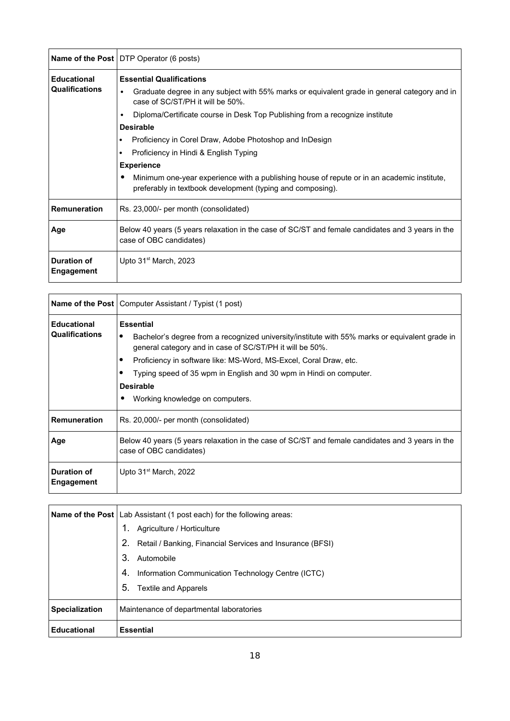|                                  | <b>Name of the Post</b> DTP Operator (6 posts)                                                                                                                |
|----------------------------------|---------------------------------------------------------------------------------------------------------------------------------------------------------------|
| <b>Educational</b>               | <b>Essential Qualifications</b>                                                                                                                               |
| <b>Qualifications</b>            | Graduate degree in any subject with 55% marks or equivalent grade in general category and in<br>٠<br>case of SC/ST/PH it will be 50%.                         |
|                                  | Diploma/Certificate course in Desk Top Publishing from a recognize institute<br>٠                                                                             |
|                                  | <b>Desirable</b>                                                                                                                                              |
|                                  | Proficiency in Corel Draw, Adobe Photoshop and InDesign<br>٠                                                                                                  |
|                                  | Proficiency in Hindi & English Typing                                                                                                                         |
|                                  | <b>Experience</b>                                                                                                                                             |
|                                  | Minimum one-year experience with a publishing house of repute or in an academic institute,<br>٠<br>preferably in textbook development (typing and composing). |
| <b>Remuneration</b>              | Rs. 23,000/- per month (consolidated)                                                                                                                         |
| Age                              | Below 40 years (5 years relaxation in the case of SC/ST and female candidates and 3 years in the<br>case of OBC candidates)                                   |
| <b>Duration of</b><br>Engagement | Upto 31 <sup>st</sup> March, 2023                                                                                                                             |

|                                             | Name of the Post   Computer Assistant / Typist (1 post)                                                                                                                                                                                                                                                                                                                               |
|---------------------------------------------|---------------------------------------------------------------------------------------------------------------------------------------------------------------------------------------------------------------------------------------------------------------------------------------------------------------------------------------------------------------------------------------|
| <b>Educational</b><br><b>Qualifications</b> | <b>Essential</b><br>Bachelor's degree from a recognized university/institute with 55% marks or equivalent grade in<br>٠<br>general category and in case of SC/ST/PH it will be 50%.<br>Proficiency in software like: MS-Word, MS-Excel, Coral Draw, etc.<br>Typing speed of 35 wpm in English and 30 wpm in Hindi on computer.<br><b>Desirable</b><br>Working knowledge on computers. |
| <b>Remuneration</b>                         | Rs. 20,000/- per month (consolidated)                                                                                                                                                                                                                                                                                                                                                 |
| Age                                         | Below 40 years (5 years relaxation in the case of SC/ST and female candidates and 3 years in the<br>case of OBC candidates)                                                                                                                                                                                                                                                           |
| <b>Duration of</b><br>Engagement            | Upto $31st$ March, 2022                                                                                                                                                                                                                                                                                                                                                               |

|                       | <b>Name of the Post</b>   Lab Assistant (1 post each) for the following areas: |
|-----------------------|--------------------------------------------------------------------------------|
|                       | Agriculture / Horticulture                                                     |
|                       | 2.<br>Retail / Banking, Financial Services and Insurance (BFSI)                |
|                       | 3.<br>Automobile                                                               |
|                       | Information Communication Technology Centre (ICTC)<br>4.                       |
|                       | 5.<br><b>Textile and Apparels</b>                                              |
| <b>Specialization</b> | Maintenance of departmental laboratories                                       |
| <b>Educational</b>    | <b>Essential</b>                                                               |

ú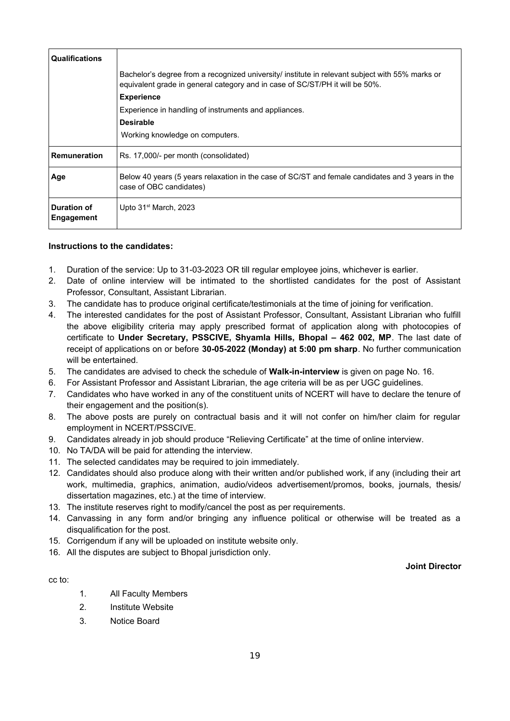| <b>Qualifications</b>     |                                                                                                                                                                                 |
|---------------------------|---------------------------------------------------------------------------------------------------------------------------------------------------------------------------------|
|                           | Bachelor's degree from a recognized university/ institute in relevant subject with 55% marks or<br>equivalent grade in general category and in case of SC/ST/PH it will be 50%. |
|                           | <b>Experience</b>                                                                                                                                                               |
|                           | Experience in handling of instruments and appliances.                                                                                                                           |
|                           | <b>Desirable</b>                                                                                                                                                                |
|                           | Working knowledge on computers.                                                                                                                                                 |
| <b>Remuneration</b>       | Rs. 17,000/- per month (consolidated)                                                                                                                                           |
| Age                       | Below 40 years (5 years relaxation in the case of SC/ST and female candidates and 3 years in the<br>case of OBC candidates)                                                     |
| Duration of<br>Engagement | Upto $31st$ March, 2023                                                                                                                                                         |

### **Instructions to the candidates:**

- 1. Duration of the service: Up to 31-03-2023 OR till regular employee joins, whichever is earlier.
- 2. Date of online interview will be intimated to the shortlisted candidates for the post of Assistant Professor, Consultant, Assistant Librarian.
- 3. The candidate has to produce original certificate/testimonials at the time of joining for verification.
- 4. The interested candidates for the post of Assistant Professor, Consultant, Assistant Librarian who fulfill the above eligibility criteria may apply prescribed format of application along with photocopies of certificate to **Under Secretary, PSSCIVE, Shyamla Hills, Bhopal – 462 002, MP**. The last date of receipt of applications on or before **30-05-2022 (Monday) at 5:00 pm sharp**. No further communication will be entertained.
- 5. The candidates are advised to check the schedule of **Walk-in-interview** is given on page No. 16.
- 6. For Assistant Professor and Assistant Librarian, the age criteria will be as per UGC guidelines.
- 7. Candidates who have worked in any of the constituent units of NCERT will have to declare the tenure of their engagement and the position(s).
- 8. The above posts are purely on contractual basis and it will not confer on him/her claim for regular employment in NCERT/PSSCIVE.
- 9. Candidates already in job should produce "Relieving Certificate" at the time of online interview.
- 10. No TA/DA will be paid for attending the interview.
- 11. The selected candidates may be required to join immediately.
- 12. Candidates should also produce along with their written and/or published work, if any (including their art work, multimedia, graphics, animation, audio/videos advertisement/promos, books, journals, thesis/ dissertation magazines, etc.) at the time of interview.
- 13. The institute reserves right to modify/cancel the post as per requirements.
- 14. Canvassing in any form and/or bringing any influence political or otherwise will be treated as a disqualification for the post.
- 15. Corrigendum if any will be uploaded on institute website only.
- 16. All the disputes are subject to Bhopal jurisdiction only.

#### **Joint Director**

- cc to:
- 1. All Faculty Members
- 2. Institute Website
- 3. Notice Board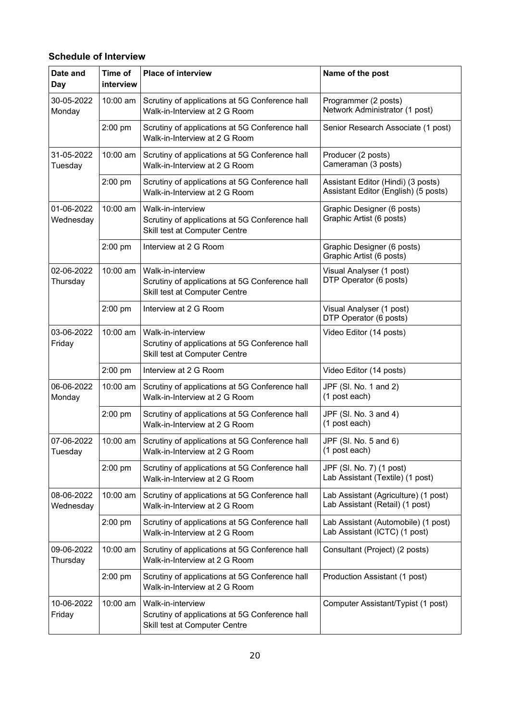## **Schedule of Interview**

| Date and<br>Day         | Time of<br>interview | <b>Place of interview</b>                                                                            | Name of the post                                                           |
|-------------------------|----------------------|------------------------------------------------------------------------------------------------------|----------------------------------------------------------------------------|
| 30-05-2022<br>Monday    | 10:00 am             | Scrutiny of applications at 5G Conference hall<br>Walk-in-Interview at 2 G Room                      | Programmer (2 posts)<br>Network Administrator (1 post)                     |
|                         | 2:00 pm              | Scrutiny of applications at 5G Conference hall<br>Walk-in-Interview at 2 G Room                      | Senior Research Associate (1 post)                                         |
| 31-05-2022<br>Tuesday   | 10:00 am             | Scrutiny of applications at 5G Conference hall<br>Walk-in-Interview at 2 G Room                      | Producer (2 posts)<br>Cameraman (3 posts)                                  |
|                         | 2:00 pm              | Scrutiny of applications at 5G Conference hall<br>Walk-in-Interview at 2 G Room                      | Assistant Editor (Hindi) (3 posts)<br>Assistant Editor (English) (5 posts) |
| 01-06-2022<br>Wednesday | 10:00 am             | Walk-in-interview<br>Scrutiny of applications at 5G Conference hall<br>Skill test at Computer Centre | Graphic Designer (6 posts)<br>Graphic Artist (6 posts)                     |
|                         | 2:00 pm              | Interview at 2 G Room                                                                                | Graphic Designer (6 posts)<br>Graphic Artist (6 posts)                     |
| 02-06-2022<br>Thursday  | 10:00 am             | Walk-in-interview<br>Scrutiny of applications at 5G Conference hall<br>Skill test at Computer Centre | Visual Analyser (1 post)<br>DTP Operator (6 posts)                         |
|                         | 2:00 pm              | Interview at 2 G Room                                                                                | Visual Analyser (1 post)<br>DTP Operator (6 posts)                         |
| 03-06-2022<br>Friday    | 10:00 am             | Walk-in-interview<br>Scrutiny of applications at 5G Conference hall<br>Skill test at Computer Centre | Video Editor (14 posts)                                                    |
|                         | 2:00 pm              | Interview at 2 G Room                                                                                | Video Editor (14 posts)                                                    |
| 06-06-2022<br>Monday    | 10:00 am             | Scrutiny of applications at 5G Conference hall<br>Walk-in-Interview at 2 G Room                      | JPF (SI. No. 1 and 2)<br>(1 post each)                                     |
|                         | 2:00 pm              | Scrutiny of applications at 5G Conference hall<br>Walk-in-Interview at 2 G Room                      | JPF (SI. No. 3 and 4)<br>(1 post each)                                     |
| 07-06-2022<br>Tuesday   | 10:00 am             | Scrutiny of applications at 5G Conference hall<br>Walk-in-Interview at 2 G Room                      | JPF (SI. No. 5 and 6)<br>(1 post each)                                     |
|                         | 2:00 pm              | Scrutiny of applications at 5G Conference hall<br>Walk-in-Interview at 2 G Room                      | JPF (SI. No. 7) (1 post)<br>Lab Assistant (Textile) (1 post)               |
| 08-06-2022<br>Wednesday | 10:00 am             | Scrutiny of applications at 5G Conference hall<br>Walk-in-Interview at 2 G Room                      | Lab Assistant (Agriculture) (1 post)<br>Lab Assistant (Retail) (1 post)    |
|                         | 2:00 pm              | Scrutiny of applications at 5G Conference hall<br>Walk-in-Interview at 2 G Room                      | Lab Assistant (Automobile) (1 post)<br>Lab Assistant (ICTC) (1 post)       |
| 09-06-2022<br>Thursday  | 10:00 am             | Scrutiny of applications at 5G Conference hall<br>Walk-in-Interview at 2 G Room                      | Consultant (Project) (2 posts)                                             |
|                         | 2:00 pm              | Scrutiny of applications at 5G Conference hall<br>Walk-in-Interview at 2 G Room                      | Production Assistant (1 post)                                              |
| 10-06-2022<br>Friday    | 10:00 am             | Walk-in-interview<br>Scrutiny of applications at 5G Conference hall<br>Skill test at Computer Centre | Computer Assistant/Typist (1 post)                                         |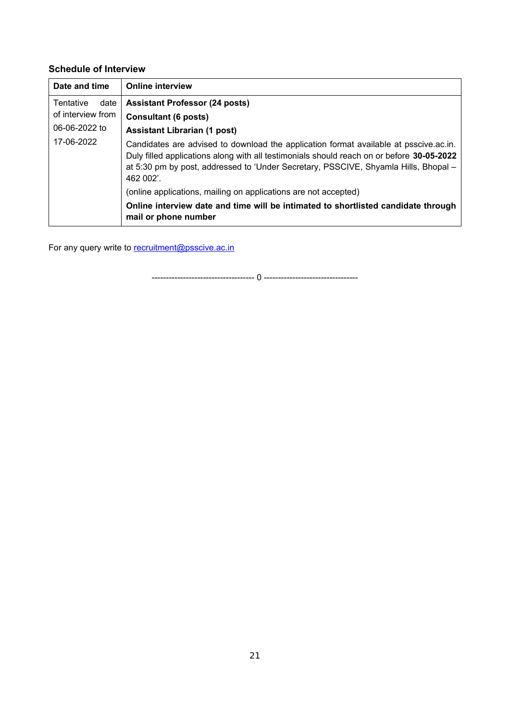## **Schedule of Interview**

| Date and time            | <b>Online interview</b>                                                                                                                                                                                                                                                                |
|--------------------------|----------------------------------------------------------------------------------------------------------------------------------------------------------------------------------------------------------------------------------------------------------------------------------------|
| <b>Tentative</b><br>date | <b>Assistant Professor (24 posts)</b>                                                                                                                                                                                                                                                  |
| of interview from        | <b>Consultant (6 posts)</b>                                                                                                                                                                                                                                                            |
| 06-06-2022 to            | <b>Assistant Librarian (1 post)</b>                                                                                                                                                                                                                                                    |
| 17-06-2022               | Candidates are advised to download the application format available at psscive.ac.in.<br>Duly filled applications along with all testimonials should reach on or before 30-05-2022<br>at 5:30 pm by post, addressed to 'Under Secretary, PSSCIVE, Shyamla Hills, Bhopal -<br>462 002'. |
|                          | (online applications, mailing on applications are not accepted)                                                                                                                                                                                                                        |
|                          | Online interview date and time will be intimated to shortlisted candidate through<br>mail or phone number                                                                                                                                                                              |

For any query write to **recruitment@psscive.ac.in** 

------------------------------------ 0 ---------------------------------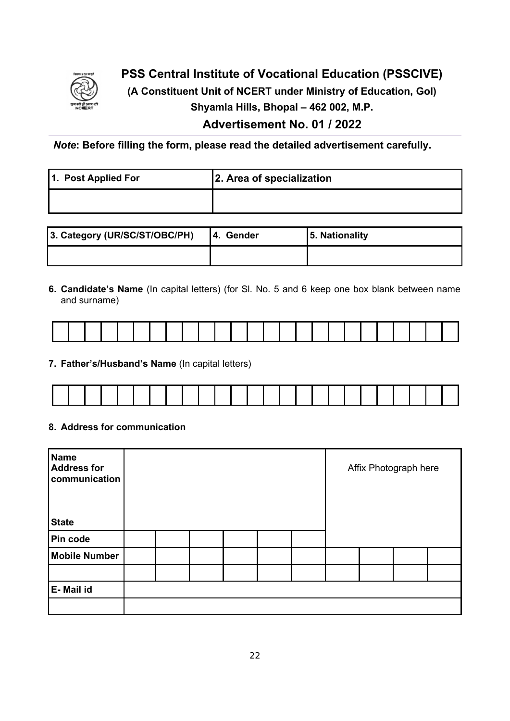

## **PSS Central Institute of Vocational Education (PSSCIVE)**

**(A Constituent Unit of NCERT under Ministry of Education, GoI)**

**Shyamla Hills, Bhopal – 462 002, M.P.**

## **Advertisement No. 01 / 2022**

*Note***: Before filling the form, please read the detailed advertisement carefully.**

| 1. Post Applied For | 2. Area of specialization |
|---------------------|---------------------------|
|                     |                           |

| 3. Category (UR/SC/ST/OBC/PH) | <b>4. Gender</b> | 5. Nationality |
|-------------------------------|------------------|----------------|
|                               |                  |                |

**6. Candidate's Name** (In capital letters) (for Sl. No. 5 and 6 keep one box blank between name and surname)

**7. Father's/Husband's Name** (In capital letters)

|  |  |  | and the contract of the contract of the contract of the contract of the contract of the contract of the contract of |  | the contract of the contract of the | and the contract of the contract of the contract of the contract of the contract of |  |  |  |  |  | . |  |
|--|--|--|---------------------------------------------------------------------------------------------------------------------|--|-------------------------------------|-------------------------------------------------------------------------------------|--|--|--|--|--|---|--|

## **8. Address for communication**

| Name<br><b>Address for</b><br>communication |  |  |  |  | Affix Photograph here |  |
|---------------------------------------------|--|--|--|--|-----------------------|--|
| <b>State</b>                                |  |  |  |  |                       |  |
| Pin code                                    |  |  |  |  |                       |  |
| <b>Mobile Number</b>                        |  |  |  |  |                       |  |
|                                             |  |  |  |  |                       |  |
| E-Mail id                                   |  |  |  |  |                       |  |
|                                             |  |  |  |  |                       |  |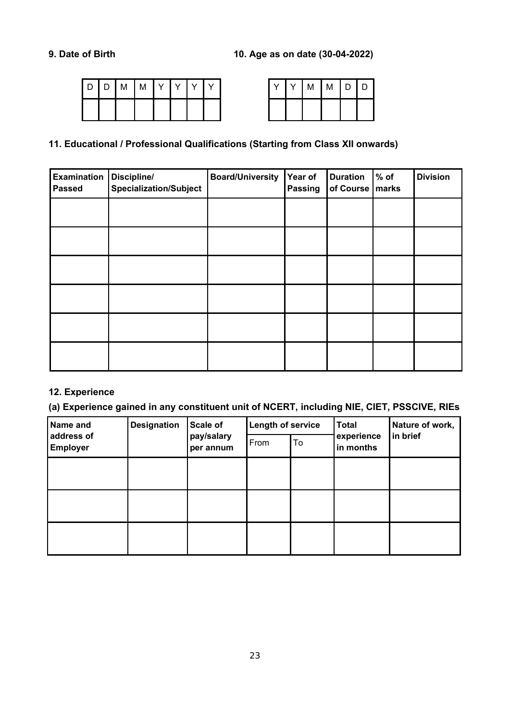| $\overline{D}$ | l D | M | $\mid M \mid$ | $\mathsf{I}$ Y | $\mathcal{N}$ | $\checkmark$ |  | $\sqrt{}$ | $\checkmark$ | M | $\mathsf{M}$ | $\sqrt{2}$<br>◡ |
|----------------|-----|---|---------------|----------------|---------------|--------------|--|-----------|--------------|---|--------------|-----------------|
|                |     |   |               |                |               |              |  |           |              |   |              |                 |

|  | M | M | D | D |
|--|---|---|---|---|
|  |   |   |   |   |

## **11. Educational / Professional Qualifications (Starting from Class XII onwards)**

| <b>Examination</b><br><b>Passed</b> | Discipline/<br><b>Specialization/Subject</b> | <b>Board/University</b> | Year of<br>Passing | <b>Duration</b><br>of Course   marks | $%$ of | <b>Division</b> |
|-------------------------------------|----------------------------------------------|-------------------------|--------------------|--------------------------------------|--------|-----------------|
|                                     |                                              |                         |                    |                                      |        |                 |
|                                     |                                              |                         |                    |                                      |        |                 |
|                                     |                                              |                         |                    |                                      |        |                 |
|                                     |                                              |                         |                    |                                      |        |                 |
|                                     |                                              |                         |                    |                                      |        |                 |
|                                     |                                              |                         |                    |                                      |        |                 |

## **12. Experience**

## **(a) Experience gained in any constituent unit of NCERT, including NIE, CIET, PSSCIVE, RIEs**

| Name and                      | <b>Designation</b> | Scale of                | <b>Length of service</b> |    | <b>Total</b>            | Nature of work, |  |
|-------------------------------|--------------------|-------------------------|--------------------------|----|-------------------------|-----------------|--|
| address of<br><b>Employer</b> |                    | pay/salary<br>per annum | From                     | To | experience<br>in months | in brief        |  |
|                               |                    |                         |                          |    |                         |                 |  |
|                               |                    |                         |                          |    |                         |                 |  |
|                               |                    |                         |                          |    |                         |                 |  |
|                               |                    |                         |                          |    |                         |                 |  |
|                               |                    |                         |                          |    |                         |                 |  |